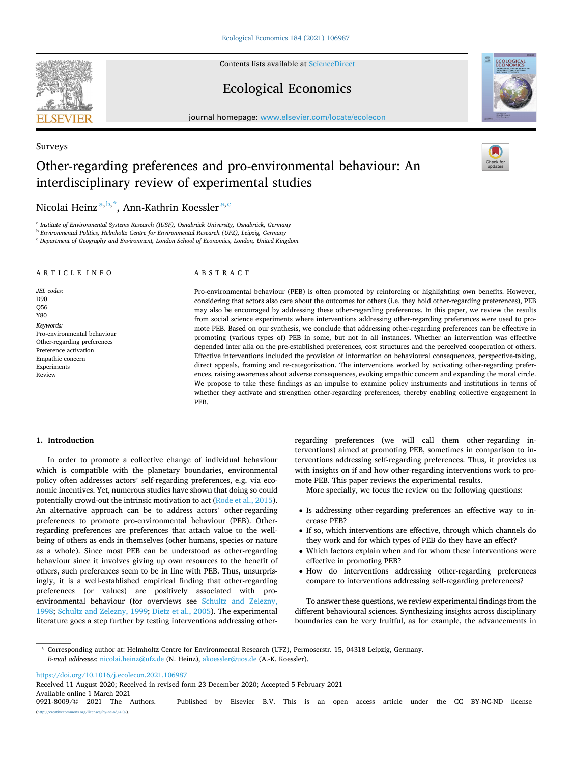Contents lists available at [ScienceDirect](www.sciencedirect.com/science/journal/09218009)

# Ecological Economics

journal homepage: [www.elsevier.com/locate/ecolecon](https://www.elsevier.com/locate/ecolecon)

# Other-regarding preferences and pro-environmental behaviour: An interdisciplinary review of experimental studies

Nicolai Heinz<sup>a, b,\*</sup>, Ann-Kathrin Koessler<sup>a, c</sup>

<sup>a</sup> *Institute of Environmental Systems Research (IUSF), Osnabrück University, Osnabrück, Germany* 

<sup>b</sup> *Environmental Politics, Helmholtz Centre for Environmental Research (UFZ), Leipzig, Germany* 

<sup>c</sup> *Department of Geography and Environment, London School of Economics, London, United Kingdom* 

### ARTICLE INFO

Pro-environmental behaviour Other-regarding preferences Preference activation Empathic concern Experiments Review

*JEL codes:*  D90 Q56 Y80 *Keywords:* 

#### ABSTRACT

Pro-environmental behaviour (PEB) is often promoted by reinforcing or highlighting own benefits. However, considering that actors also care about the outcomes for others (i.e. they hold other-regarding preferences), PEB may also be encouraged by addressing these other-regarding preferences. In this paper, we review the results from social science experiments where interventions addressing other-regarding preferences were used to promote PEB. Based on our synthesis, we conclude that addressing other-regarding preferences can be effective in promoting (various types of) PEB in some, but not in all instances. Whether an intervention was effective depended inter alia on the pre-established preferences, cost structures and the perceived cooperation of others. Effective interventions included the provision of information on behavioural consequences, perspective-taking, direct appeals, framing and re-categorization. The interventions worked by activating other-regarding preferences, raising awareness about adverse consequences, evoking empathic concern and expanding the moral circle. We propose to take these findings as an impulse to examine policy instruments and institutions in terms of whether they activate and strengthen other-regarding preferences, thereby enabling collective engagement in PEB.

# **1. Introduction**

In order to promote a collective change of individual behaviour which is compatible with the planetary boundaries, environmental policy often addresses actors' self-regarding preferences, e.g. via economic incentives. Yet, numerous studies have shown that doing so could potentially crowd-out the intrinsic motivation to act [\(Rode et al., 2015](#page-13-0)). An alternative approach can be to address actors' other-regarding preferences to promote pro-environmental behaviour (PEB). Otherregarding preferences are preferences that attach value to the wellbeing of others as ends in themselves (other humans, species or nature as a whole). Since most PEB can be understood as other-regarding behaviour since it involves giving up own resources to the benefit of others, such preferences seem to be in line with PEB. Thus, unsurprisingly, it is a well-established empirical finding that other-regarding preferences (or values) are positively associated with proenvironmental behaviour (for overviews see [Schultz and Zelezny,](#page-13-0)  [1998; Schultz and Zelezny, 1999;](#page-13-0) [Dietz et al., 2005](#page-12-0)). The experimental literature goes a step further by testing interventions addressing otherregarding preferences (we will call them other-regarding interventions) aimed at promoting PEB, sometimes in comparison to interventions addressing self-regarding preferences. Thus, it provides us with insights on if and how other-regarding interventions work to promote PEB. This paper reviews the experimental results.

More specially, we focus the review on the following questions:

- Is addressing other-regarding preferences an effective way to increase PEB?
- If so, which interventions are effective, through which channels do they work and for which types of PEB do they have an effect?
- Which factors explain when and for whom these interventions were effective in promoting PEB?
- How do interventions addressing other-regarding preferences compare to interventions addressing self-regarding preferences?

To answer these questions, we review experimental findings from the different behavioural sciences. Synthesizing insights across disciplinary boundaries can be very fruitful, as for example, the advancements in

\* Corresponding author at: Helmholtz Centre for Environmental Research (UFZ), Permoserstr. 15, 04318 Leipzig, Germany. *E-mail addresses:* [nicolai.heinz@ufz.de](mailto:nicolai.heinz@ufz.de) (N. Heinz), [akoessler@uos.de](mailto:akoessler@uos.de) (A.-K. Koessler).

<https://doi.org/10.1016/j.ecolecon.2021.106987>

Available online 1 March 2021<br>0921-8009/© 2021 The Authors. Received 11 August 2020; Received in revised form 23 December 2020; Accepted 5 February 2021



Surveys



Published by Elsevier B.V. This is an open access article under the CC BY-NC-ND license ns.org/licenses/by-nc-nd/4.0/).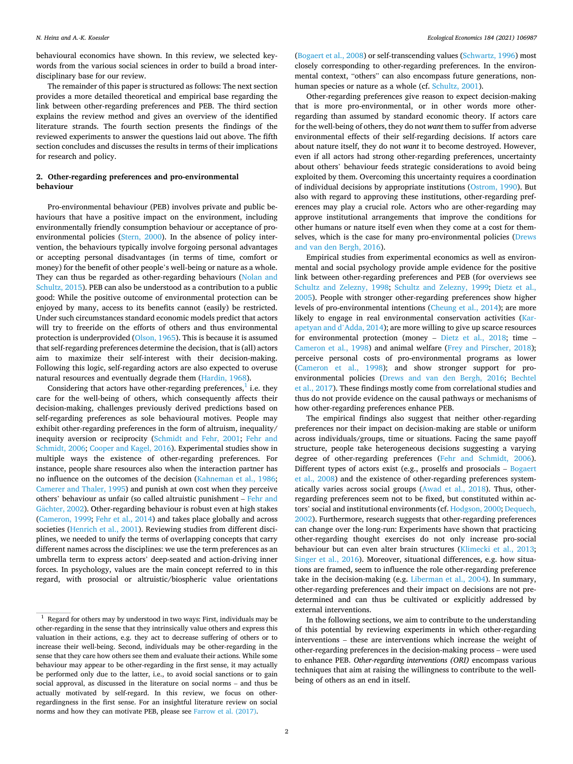<span id="page-1-0"></span>behavioural economics have shown. In this review, we selected keywords from the various social sciences in order to build a broad interdisciplinary base for our review.

The remainder of this paper is structured as follows: The next section provides a more detailed theoretical and empirical base regarding the link between other-regarding preferences and PEB. The third section explains the review method and gives an overview of the identified literature strands. The fourth section presents the findings of the reviewed experiments to answer the questions laid out above. The fifth section concludes and discusses the results in terms of their implications for research and policy.

# **2. Other-regarding preferences and pro-environmental behaviour**

Pro-environmental behaviour (PEB) involves private and public behaviours that have a positive impact on the environment, including environmentally friendly consumption behaviour or acceptance of proenvironmental policies ([Stern, 2000](#page-13-0)). In the absence of policy intervention, the behaviours typically involve forgoing personal advantages or accepting personal disadvantages (in terms of time, comfort or money) for the benefit of other people's well-being or nature as a whole. They can thus be regarded as other-regarding behaviours [\(Nolan and](#page-13-0)  [Schultz, 2015](#page-13-0)). PEB can also be understood as a contribution to a public good: While the positive outcome of environmental protection can be enjoyed by many, access to its benefits cannot (easily) be restricted. Under such circumstances standard economic models predict that actors will try to freeride on the efforts of others and thus environmental protection is underprovided [\(Olson, 1965\)](#page-13-0). This is because it is assumed that self-regarding preferences determine the decision, that is (all) actors aim to maximize their self-interest with their decision-making. Following this logic, self-regarding actors are also expected to overuse natural resources and eventually degrade them [\(Hardin, 1968](#page-12-0)).

Considering that actors have other-regarding preferences, $<sup>1</sup>$  i.e. they</sup> care for the well-being of others, which consequently affects their decision-making, challenges previously derived predictions based on self-regarding preferences as sole behavioural motives. People may exhibit other-regarding preferences in the form of altruism, inequality/ inequity aversion or reciprocity [\(Schmidt and Fehr, 2001;](#page-13-0) [Fehr and](#page-12-0)  [Schmidt, 2006; Cooper and Kagel, 2016\)](#page-12-0). Experimental studies show in multiple ways the existence of other-regarding preferences. For instance, people share resources also when the interaction partner has no influence on the outcomes of the decision [\(Kahneman et al., 1986](#page-13-0); [Camerer and Thaler, 1995](#page-12-0)) and punish at own cost when they perceive others' behaviour as unfair (so called altruistic punishment – [Fehr and](#page-12-0)  Gächter, 2002). Other-regarding behaviour is robust even at high stakes ([Cameron, 1999;](#page-12-0) [Fehr et al., 2014](#page-12-0)) and takes place globally and across societies ([Henrich et al., 2001\)](#page-12-0). Reviewing studies from different disciplines, we needed to unify the terms of overlapping concepts that carry different names across the disciplines: we use the term preferences as an umbrella term to express actors' deep-seated and action-driving inner forces. In psychology, values are the main concept referred to in this regard, with prosocial or altruistic/biospheric value orientations ([Bogaert et al., 2008](#page-12-0)) or self-transcending values [\(Schwartz, 1996\)](#page-13-0) most closely corresponding to other-regarding preferences. In the environmental context, "others" can also encompass future generations, nonhuman species or nature as a whole (cf. [Schultz, 2001\)](#page-13-0).

Other-regarding preferences give reason to expect decision-making that is more pro-environmental, or in other words more otherregarding than assumed by standard economic theory. If actors care for the well-being of others, they do not *want* them to suffer from adverse environmental effects of their self-regarding decisions. If actors care about nature itself, they do not *want* it to become destroyed. However, even if all actors had strong other-regarding preferences, uncertainty about others' behaviour feeds strategic considerations to avoid being exploited by them. Overcoming this uncertainty requires a coordination of individual decisions by appropriate institutions [\(Ostrom, 1990\)](#page-13-0). But also with regard to approving these institutions, other-regarding preferences may play a crucial role. Actors who are other-regarding may approve institutional arrangements that improve the conditions for other humans or nature itself even when they come at a cost for themselves, which is the case for many pro-environmental policies ([Drews](#page-12-0)  [and van den Bergh, 2016\)](#page-12-0).

Empirical studies from experimental economics as well as environmental and social psychology provide ample evidence for the positive link between other-regarding preferences and PEB (for overviews see [Schultz and Zelezny, 1998](#page-13-0); [Schultz and Zelezny, 1999](#page-13-0); [Dietz et al.,](#page-12-0)  [2005\)](#page-12-0). People with stronger other-regarding preferences show higher levels of pro-environmental intentions ([Cheung et al., 2014\)](#page-12-0); are more likely to engage in real environmental conservation activities ([Kar](#page-13-0)[apetyan and d](#page-13-0)'Adda, 2014); are more willing to give up scarce resources for environmental protection (money – [Dietz et al., 2018](#page-12-0); time – [Cameron et al., 1998](#page-12-0)) and animal welfare [\(Frey and Pirscher, 2018](#page-12-0)); perceive personal costs of pro-environmental programs as lower ([Cameron et al., 1998](#page-12-0)); and show stronger support for proenvironmental policies ([Drews and van den Bergh, 2016](#page-12-0); [Bechtel](#page-12-0)  [et al., 2017](#page-12-0)). These findings mostly come from correlational studies and thus do not provide evidence on the causal pathways or mechanisms of how other-regarding preferences enhance PEB.

The empirical findings also suggest that neither other-regarding preferences nor their impact on decision-making are stable or uniform across individuals/groups, time or situations. Facing the same payoff structure, people take heterogeneous decisions suggesting a varying degree of other-regarding preferences ([Fehr and Schmidt, 2006](#page-12-0)). Different types of actors exist (e.g., proselfs and prosocials – [Bogaert](#page-12-0)  [et al., 2008](#page-12-0)) and the existence of other-regarding preferences systematically varies across social groups [\(Awad et al., 2018](#page-12-0)). Thus, otherregarding preferences seem not to be fixed, but constituted within actors' social and institutional environments (cf. [Hodgson, 2000; Dequech,](#page-12-0)  [2002\)](#page-12-0). Furthermore, research suggests that other-regarding preferences can change over the long-run: Experiments have shown that practicing other-regarding thought exercises do not only increase pro-social behaviour but can even alter brain structures ([Klimecki et al., 2013](#page-13-0); [Singer et al., 2016](#page-13-0)). Moreover, situational differences, e.g. how situations are framed, seem to influence the role other-regarding preference take in the decision-making (e.g. [Liberman et al., 2004\)](#page-13-0). In summary, other-regarding preferences and their impact on decisions are not predetermined and can thus be cultivated or explicitly addressed by external interventions.

In the following sections, we aim to contribute to the understanding of this potential by reviewing experiments in which other-regarding interventions – these are interventions which increase the weight of other-regarding preferences in the decision-making process – were used to enhance PEB. *Other-regarding interventions (ORI)* encompass various techniques that aim at raising the willingness to contribute to the wellbeing of others as an end in itself.

 $1$  Regard for others may by understood in two ways: First, individuals may be other-regarding in the sense that they intrinsically value others and express this valuation in their actions, e.g. they act to decrease suffering of others or to increase their well-being. Second, individuals may be other-regarding in the sense that they care how others see them and evaluate their actions. While some behaviour may appear to be other-regarding in the first sense, it may actually be performed only due to the latter, i.e., to avoid social sanctions or to gain social approval, as discussed in the literature on social norms – and thus be actually motivated by self-regard. In this review, we focus on otherregardingness in the first sense. For an insightful literature review on social norms and how they can motivate PEB, please see [Farrow et al. \(2017\).](#page-12-0)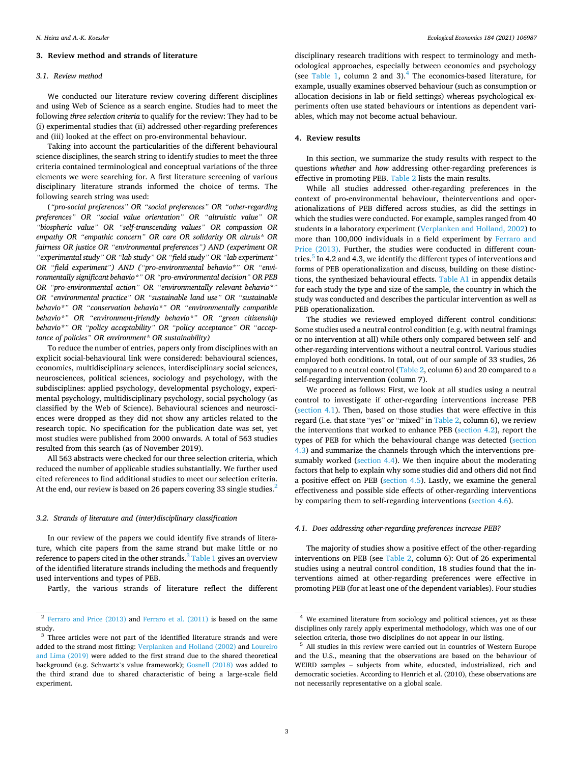# **3. Review method and strands of literature**

# *3.1. Review method*

We conducted our literature review covering different disciplines and using Web of Science as a search engine. Studies had to meet the following *three selection criteria* to qualify for the review: They had to be (i) experimental studies that (ii) addressed other-regarding preferences and (iii) looked at the effect on pro-environmental behaviour.

Taking into account the particularities of the different behavioural science disciplines, the search string to identify studies to meet the three criteria contained terminological and conceptual variations of the three elements we were searching for. A first literature screening of various disciplinary literature strands informed the choice of terms. The following search string was used:

(*"pro-social preferences" OR "social preferences" OR "other-regarding preferences" OR "social value orientation" OR "altruistic value" OR "biospheric value" OR "self-transcending values" OR compassion OR empathy OR "empathic concern" OR care OR solidarity OR altruis\* OR fairness OR justice OR "environmental preferences") AND (experiment OR "experimental study" OR "lab study" OR "field study" OR "lab experiment" OR "field experiment") AND ("pro-environmental behavio\*" OR "environmentally significant behavio\*" OR "pro-environmental decision" OR PEB OR "pro-environmental action" OR "environmentally relevant behavio\*" OR "environmental practice" OR "sustainable land use" OR "sustainable behavio\*" OR "conservation behavio\*" OR "environmentally compatible behavio\*" OR "environment-friendly behavio\*" OR "green citizenship behavio\*" OR "policy acceptability" OR "policy acceptance" OR "acceptance of policies" OR environment\* OR sustainability)* 

To reduce the number of entries, papers only from disciplines with an explicit social-behavioural link were considered: behavioural sciences, economics, multidisciplinary sciences, interdisciplinary social sciences, neurosciences, political sciences, sociology and psychology, with the subdisciplines: applied psychology, developmental psychology, experimental psychology, multidisciplinary psychology, social psychology (as classified by the Web of Science). Behavioural sciences and neurosciences were dropped as they did not show any articles related to the research topic. No specification for the publication date was set, yet most studies were published from 2000 onwards. A total of 563 studies resulted from this search (as of November 2019).

All 563 abstracts were checked for our three selection criteria, which reduced the number of applicable studies substantially. We further used cited references to find additional studies to meet our selection criteria. At the end, our review is based on 26 papers covering 33 single studies.<sup>2</sup>

## *3.2. Strands of literature and (inter)disciplinary classification*

In our review of the papers we could identify five strands of literature, which cite papers from the same strand but make little or no reference to papers cited in the other strands. $3$  [Table 1](#page-3-0) gives an overview of the identified literature strands including the methods and frequently used interventions and types of PEB.

Partly, the various strands of literature reflect the different

disciplinary research traditions with respect to terminology and methodological approaches, especially between economics and psychology (see [Table 1,](#page-3-0) column 2 and 3).4 The economics-based literature, for example, usually examines observed behaviour (such as consumption or allocation decisions in lab or field settings) whereas psychological experiments often use stated behaviours or intentions as dependent variables, which may not become actual behaviour.

# **4. Review results**

In this section, we summarize the study results with respect to the questions *whether* and *how* addressing other-regarding preferences is effective in promoting PEB. [Table 2](#page-4-0) lists the main results.

While all studies addressed other-regarding preferences in the context of pro-environmental behaviour, theinterventions and operationalizations of PEB differed across studies, as did the settings in which the studies were conducted. For example, samples ranged from 40 students in a laboratory experiment [\(Verplanken and Holland, 2002](#page-13-0)) to more than 100,000 individuals in a field experiment by [Ferraro and](#page-12-0)  [Price \(2013\).](#page-12-0) Further, the studies were conducted in different countries.<sup>5</sup> In 4.2 and 4.3, we identify the different types of interventions and forms of PEB operationalization and discuss, building on these distinctions, the synthesized behavioural effects. [Table A1](#page-10-0) in appendix details for each study the type and size of the sample, the country in which the study was conducted and describes the particular intervention as well as PEB operationalization.

The studies we reviewed employed different control conditions: Some studies used a neutral control condition (e.g. with neutral framings or no intervention at all) while others only compared between self- and other-regarding interventions without a neutral control. Various studies employed both conditions. In total, out of our sample of 33 studies, 26 compared to a neutral control [\(Table 2,](#page-4-0) column 6) and 20 compared to a self-regarding intervention (column 7).

We proceed as follows: First, we look at all studies using a neutral control to investigate if other-regarding interventions increase PEB (section 4.1). Then, based on those studies that were effective in this regard (i.e. that state "yes" or "mixed" in [Table 2](#page-4-0), column 6), we review the interventions that worked to enhance PEB ([section 4.2](#page-3-0)), report the types of PEB for which the behavioural change was detected ([section](#page-5-0)  [4.3\)](#page-5-0) and summarize the channels through which the interventions pre-sumably worked [\(section 4.4](#page-5-0)). We then inquire about the moderating factors that help to explain why some studies did and others did not find a positive effect on PEB ([section 4.5](#page-6-0)). Lastly, we examine the general effectiveness and possible side effects of other-regarding interventions by comparing them to self-regarding interventions [\(section 4.6\)](#page-7-0).

#### *4.1. Does addressing other-regarding preferences increase PEB?*

The majority of studies show a positive effect of the other-regarding interventions on PEB (see [Table 2,](#page-4-0) column 6): Out of 26 experimental studies using a neutral control condition, 18 studies found that the interventions aimed at other-regarding preferences were effective in promoting PEB (for at least one of the dependent variables). Four studies

<sup>2</sup> [Ferraro and Price \(2013\)](#page-12-0) and [Ferraro et al. \(2011\)](#page-12-0) is based on the same study.

<sup>&</sup>lt;sup>3</sup> Three articles were not part of the identified literature strands and were added to the strand most fitting: [Verplanken and Holland \(2002\)](#page-13-0) and [Loureiro](#page-13-0)  [and Lima \(2019\)](#page-13-0) were added to the first strand due to the shared theoretical background (e.g. Schwartz's value framework); [Gosnell \(2018\)](#page-12-0) was added to the third strand due to shared characteristic of being a large-scale field experiment.

<sup>4</sup> We examined literature from sociology and political sciences, yet as these disciplines only rarely apply experimental methodology, which was one of our selection criteria, those two disciplines do not appear in our listing.

 $5$  All studies in this review were carried out in countries of Western Europe and the U.S., meaning that the observations are based on the behaviour of WEIRD samples – subjects from white, educated, industrialized, rich and democratic societies. According to Henrich et al. (2010), these observations are not necessarily representative on a global scale.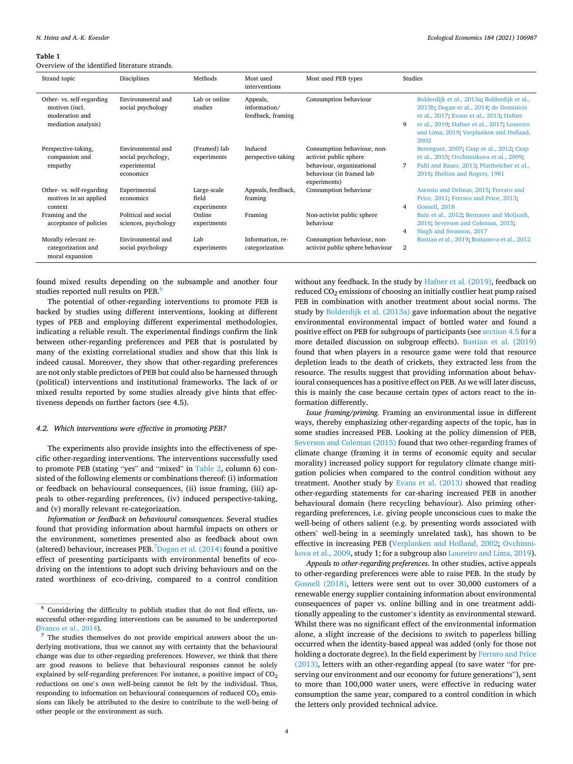#### <span id="page-3-0"></span>**Table 1**

Overview of the identified literature strands.

| Strand topic                                                                         | Disciplines                                                          | Methods                             | Most used<br>interventions                    | Most used PEB types                                                                                                            | Studies                                                                                                                                                                                                                                    |
|--------------------------------------------------------------------------------------|----------------------------------------------------------------------|-------------------------------------|-----------------------------------------------|--------------------------------------------------------------------------------------------------------------------------------|--------------------------------------------------------------------------------------------------------------------------------------------------------------------------------------------------------------------------------------------|
| Other- vs. self-regarding<br>motives (incl.<br>moderation and<br>mediation analysis) | Environmental and<br>social psychology                               | Lab or online<br>studies            | Appeals,<br>information/<br>feedback, framing | Consumption behaviour                                                                                                          | Bolderdijk et al., 2013a; Bolderdijk et al.,<br>2013b; Dogan et al., 2014; de Dominicis<br>et al., 2017; Evans et al., 2013; Hafner<br>9<br>et al., 2019; Hafner et al., 2017; Loureiro<br>and Lima, 2019; Verplanken and Holland,<br>2002 |
| Perspective-taking,<br>compassion and<br>empathy                                     | Environmental and<br>social psychology,<br>experimental<br>economics | (Framed) lab<br>experiments         | Induced<br>perspective-taking                 | Consumption behaviour, non-<br>activist public sphere<br>behaviour, organizational<br>behaviour (in framed lab<br>experiments) | Berenguer, 2007; Czap et al., 2012; Czap<br>et al., 2015; Ovchinnikova et al., 2009;<br>Pahl and Bauer, 2013; Pfattheicher et al.,<br>7<br>2016; Shelton and Rogers, 1981                                                                  |
| Other- vs. self-regarding<br>motives in an applied<br>context                        | Experimental<br>economics                                            | Large-scale<br>field<br>experiments | Appeals, feedback,<br>framing                 | Consumption behaviour                                                                                                          | Asensio and Delmas, 2015; Ferraro and<br>Price, 2011; Ferraro and Price, 2013;<br>Gosnell, 2018<br>4                                                                                                                                       |
| Framing and the<br>acceptance of policies                                            | Political and social<br>sciences, psychology                         | Online<br>experiments               | Framing                                       | Non-activist public sphere<br>behaviour                                                                                        | Bain et al., 2012; Bernauer and McGrath,<br>2016; Severson and Coleman, 2015;<br>Singh and Swanson, 2017<br>4                                                                                                                              |
| Morally relevant re-<br>categorization and<br>moral expansion                        | Environmental and<br>social psychology                               | Lab<br>experiments                  | Information, re-<br>categorization            | Consumption behaviour, non-<br>activist public sphere behaviour                                                                | Bastian et al., 2019; Bratanova et al., 2012<br>2                                                                                                                                                                                          |

found mixed results depending on the subsample and another four studies reported null results on PEB.<sup>6</sup>

The potential of other-regarding interventions to promote PEB is backed by studies using different interventions, looking at different types of PEB and employing different experimental methodologies, indicating a reliable result. The experimental findings confirm the link between other-regarding preferences and PEB that is postulated by many of the existing correlational studies and show that this link is indeed causal. Moreover, they show that other-regarding preferences are not only stable predictors of PEB but could also be harnessed through (political) interventions and institutional frameworks. The lack of or mixed results reported by some studies already give hints that effectiveness depends on further factors (see 4.5).

# *4.2. Which interventions were effective in promoting PEB?*

The experiments also provide insights into the effectiveness of specific other-regarding interventions. The interventions successfully used to promote PEB (stating "yes" and "mixed" in [Table 2,](#page-4-0) column 6) consisted of the following elements or combinations thereof: (i) information or feedback on behavioural consequences, (ii) issue framing, (iii) appeals to other-regarding preferences, (iv) induced perspective-taking, and (v) morally relevant re-categorization.

*Information or feedback on behavioural consequences*. Several studies found that providing information about harmful impacts on others or the environment, sometimes presented also as feedback about own (altered) behaviour, increases PEB. $^7$ Dogan et al. (2014) found a positive effect of presenting participants with environmental benefits of ecodriving on the intentions to adopt such driving behaviours and on the rated worthiness of eco-driving, compared to a control condition

without any feedback. In the study by [Hafner et al. \(2019\),](#page-12-0) feedback on reduced CO*2* emissions of choosing an initially costlier heat pump raised PEB in combination with another treatment about social norms. The study by [Bolderdijk et al. \(2013a\)](#page-12-0) gave information about the negative environmental environmental impact of bottled water and found a positive effect on PEB for subgroups of participants (see [section 4.5](#page-6-0) for a more detailed discussion on subgroup effects). [Bastian et al. \(2019\)](#page-12-0)  found that when players in a resource game were told that resource depletion leads to the death of crickets, they extracted less from the resource. The results suggest that providing information about behavioural consequences has a positive effect on PEB. As we will later discuss, this is mainly the case because certain *types* of actors react to the information differently.

*Issue framing/priming.* Framing an environmental issue in different ways, thereby emphasizing other-regarding aspects of the topic, has in some studies increased PEB. Looking at the policy dimension of PEB, [Severson and Coleman \(2015\)](#page-13-0) found that two other-regarding frames of climate change (framing it in terms of economic equity and secular morality) increased policy support for regulatory climate change mitigation policies when compared to the control condition without any treatment. Another study by [Evans et al. \(2013\)](#page-12-0) showed that reading other-regarding statements for car-sharing increased PEB in another behavioural domain (here recycling behaviour). Also priming otherregarding preferences, i.e. giving people unconscious cues to make the well-being of others salient (e.g. by presenting words associated with others' well-being in a seemingly unrelated task), has shown to be effective in increasing PEB ([Verplanken and Holland, 2002;](#page-13-0) [Ovchinni](#page-13-0)[kova et al., 2009](#page-13-0), study 1; for a subgroup also [Loureiro and Lima, 2019](#page-13-0)).

*Appeals to other-regarding preferences.* In other studies, active appeals to other-regarding preferences were able to raise PEB. In the study by [Gosnell \(2018\)](#page-12-0), letters were sent out to over 30,000 customers of a renewable energy supplier containing information about environmental consequences of paper vs. online billing and in one treatment additionally appealing to the customer's identity as environmental steward. Whilst there was no significant effect of the environmental information alone, a slight increase of the decisions to switch to paperless billing occurred when the identity-based appeal was added (only for those not holding a doctorate degree). In the field experiment by [Ferraro and Price](#page-12-0)  [\(2013\),](#page-12-0) letters with an other-regarding appeal (to save water "for preserving our environment and our economy for future generations"), sent to more than 100,000 water users, were effective in reducing water consumption the same year, compared to a control condition in which the letters only provided technical advice.

 $6$  Considering the difficulty to publish studies that do not find effects, unsuccessful other-regarding interventions can be assumed to be underreported

[<sup>\(</sup>Franco et al., 2014](#page-12-0)). 7 The studies themselves do not provide empirical answers about the underlying motivations, thus we cannot say with certainty that the behavioural change was due to other-regarding preferences. However, we think that there are good reasons to believe that behavioural responses cannot be solely explained by self-regarding preferences: For instance, a positive impact of  $CO<sub>2</sub>$ reductions on one's own well-being cannot be felt by the individual. Thus, responding to information on behavioural consequences of reduced  $CO<sub>2</sub>$  emissions can likely be attributed to the desire to contribute to the well-being of other people or the environment as such.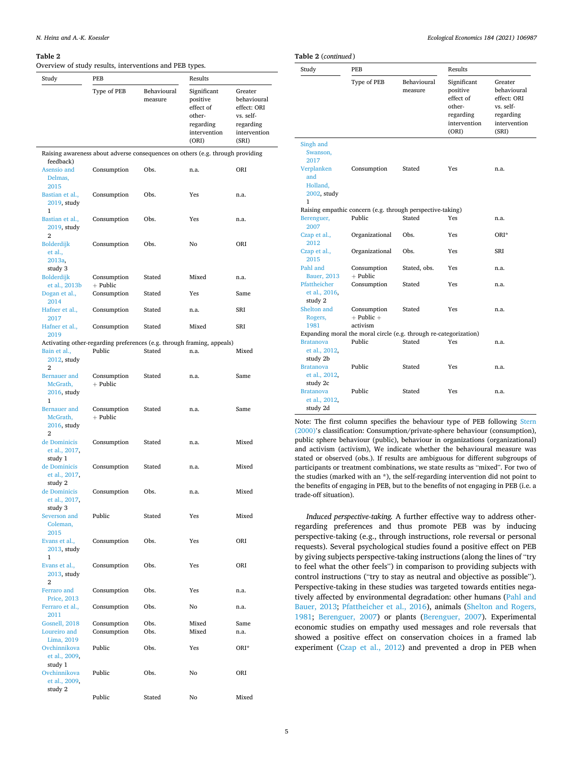#### <span id="page-4-0"></span>**Table 2**

Overview of study results, interventions and PEB types.

| Study                                               | PEB                                                                              |                        | Results                                                                              |                                                                                          |  |
|-----------------------------------------------------|----------------------------------------------------------------------------------|------------------------|--------------------------------------------------------------------------------------|------------------------------------------------------------------------------------------|--|
|                                                     | Type of PEB                                                                      | Behavioural<br>measure | Significant<br>positive<br>effect of<br>other-<br>regarding<br>intervention<br>(ORI) | Greater<br>behavioural<br>effect: ORI<br>vs. self-<br>regarding<br>intervention<br>(SRI) |  |
|                                                     | Raising awareness about adverse consequences on others (e.g. through providing   |                        |                                                                                      |                                                                                          |  |
| feedback)<br>Asensio and<br>Delmas,<br>2015         | Consumption                                                                      | Obs.                   | n.a.                                                                                 | ORI                                                                                      |  |
| Bastian et al.,<br>2019, study<br>1                 | Consumption                                                                      | Obs.                   | Yes                                                                                  | n.a.                                                                                     |  |
| Bastian et al.,<br>2019, study<br>2                 | Consumption                                                                      | Obs.                   | Yes                                                                                  | n.a.                                                                                     |  |
| Bolderdijk<br>et al.,<br>2013a,<br>study 3          | Consumption                                                                      | Obs.                   | No                                                                                   | ORI                                                                                      |  |
| <b>Bolderdijk</b><br>et al., 2013b                  | Consumption<br>$+$ Public                                                        | Stated                 | Mixed                                                                                | n.a.                                                                                     |  |
| Dogan et al.,<br>2014                               | Consumption                                                                      | Stated                 | Yes                                                                                  | Same                                                                                     |  |
| Hafner et al.,<br>2017                              | Consumption                                                                      | Stated                 | n.a.                                                                                 | SRI                                                                                      |  |
| Hafner et al.,<br>2019                              | Consumption                                                                      | Stated                 | Mixed                                                                                | SRI                                                                                      |  |
| Bain et al.,<br>2012, study<br>2                    | Activating other-regarding preferences (e.g. through framing, appeals)<br>Public | Stated                 | n.a.                                                                                 | Mixed                                                                                    |  |
| <b>Bernauer</b> and<br>McGrath,<br>2016, study<br>1 | Consumption<br>$+$ Public                                                        | Stated                 | n.a.                                                                                 | Same                                                                                     |  |
| <b>Bernauer</b> and<br>McGrath,<br>2016, study<br>2 | Consumption<br>$+$ Public                                                        | Stated                 | n.a.                                                                                 | Same                                                                                     |  |
| de Dominicis<br>et al., 2017,                       | Consumption                                                                      | Stated                 | n.a.                                                                                 | Mixed                                                                                    |  |
| study 1<br>de Dominicis<br>et al., 2017,            | Consumption                                                                      | Stated                 | n.a.                                                                                 | Mixed                                                                                    |  |
| study 2<br>de Dominicis<br>et al., 2017,            | Consumption                                                                      | Obs.                   | n.a.                                                                                 | Mixed                                                                                    |  |
| study 3<br>Severson and<br>Coleman,                 | Public                                                                           | Stated                 | Yes                                                                                  | Mixed                                                                                    |  |
| 2015<br>Evans et al.,<br>2013, study<br>1           | Consumption                                                                      | Obs.                   | Yes                                                                                  | ORI                                                                                      |  |
| Evans et al.,<br>2013, study<br>2                   | Consumption                                                                      | Obs.                   | Yes                                                                                  | ORI                                                                                      |  |
| Ferraro and<br>Price, 2013                          | Consumption                                                                      | Obs.                   | Yes                                                                                  | n.a.                                                                                     |  |
| Ferraro et al.,<br>2011                             | Consumption                                                                      | Obs.                   | No                                                                                   | n.a.                                                                                     |  |
| Gosnell, 2018<br>Loureiro and<br>Lima, 2019         | Consumption<br>Consumption                                                       | Obs.<br>Obs.           | Mixed<br>Mixed                                                                       | Same<br>n.a.                                                                             |  |
| Ovchinnikova<br>et al., 2009,                       | Public                                                                           | Obs.                   | Yes                                                                                  | ORI*                                                                                     |  |
| study 1<br>Ovchinnikova<br>et al., 2009,<br>study 2 | Public                                                                           | Obs.                   | No                                                                                   | ORI                                                                                      |  |
|                                                     | Public                                                                           | Stated                 | No                                                                                   | Mixed                                                                                    |  |

| (rable 2 (continued)                          |                                                                   |                        |                                                                                      |                                                                                          |
|-----------------------------------------------|-------------------------------------------------------------------|------------------------|--------------------------------------------------------------------------------------|------------------------------------------------------------------------------------------|
| Study                                         | PEB                                                               |                        | Results                                                                              |                                                                                          |
|                                               | Type of PEB                                                       | Behavioural<br>measure | Significant<br>positive<br>effect of<br>other-<br>regarding<br>intervention<br>(ORI) | Greater<br>behavioural<br>effect: ORI<br>vs. self-<br>regarding<br>intervention<br>(SRI) |
| Singh and<br>Swanson,<br>2017<br>Verplanken   | Consumption                                                       | Stated                 | Yes                                                                                  | n.a.                                                                                     |
| and<br>Holland,<br>2002, study<br>1           |                                                                   |                        |                                                                                      |                                                                                          |
|                                               | Raising empathic concern (e.g. through perspective-taking)        |                        |                                                                                      |                                                                                          |
| Berenguer,<br>2007                            | Public                                                            | Stated                 | Yes                                                                                  | n.a.                                                                                     |
| Czap et al.,<br>2012                          | Organizational                                                    | Obs.                   | Yes                                                                                  | ORI*                                                                                     |
| Czap et al.,<br>2015                          | Organizational                                                    | Obs.                   | Yes                                                                                  | SRI                                                                                      |
| Pahl and<br><b>Bauer</b> , 2013               | Consumption<br>$+$ Public                                         | Stated, obs.           | Yes                                                                                  | n.a.                                                                                     |
| Pfattheicher<br>et al., 2016,<br>study 2      | Consumption                                                       | Stated                 | Yes                                                                                  | n.a.                                                                                     |
| Shelton and<br>Rogers,<br>1981                | Consumption<br>$+$ Public $+$<br>activism                         | Stated                 | Yes                                                                                  | n.a.                                                                                     |
|                                               | Expanding moral the moral circle (e.g. through re-categorization) |                        |                                                                                      |                                                                                          |
| <b>Bratanova</b><br>et al., 2012,<br>study 2b | Public                                                            | Stated                 | Yes                                                                                  | n.a.                                                                                     |
| <b>Bratanova</b><br>et al., 2012,<br>study 2c | Public                                                            | Stated                 | Yes                                                                                  | n.a.                                                                                     |
| <b>Bratanova</b><br>et al., 2012,<br>study 2d | Public                                                            | Stated                 | Yes                                                                                  | n.a.                                                                                     |

Note: The first column specifies the behaviour type of PEB following [Stern](#page-13-0)  [\(2000\)](#page-13-0)'s classification: Consumption/private-sphere behaviour (consumption), public sphere behaviour (public), behaviour in organizations (organizational) and activism (activism), We indicate whether the behavioural measure was stated or observed (obs.). If results are ambiguous for different subgroups of participants or treatment combinations, we state results as "mixed". For two of the studies (marked with an \*), the self-regarding intervention did not point to the benefits of engaging in PEB, but to the benefits of not engaging in PEB (i.e. a trade-off situation).

*Induced perspective-taking.* A further effective way to address otherregarding preferences and thus promote PEB was by inducing perspective-taking (e.g., through instructions, role reversal or personal requests). Several psychological studies found a positive effect on PEB by giving subjects perspective-taking instructions (along the lines of "try to feel what the other feels") in comparison to providing subjects with control instructions ("try to stay as neutral and objective as possible"). Perspective-taking in these studies was targeted towards entities negatively affected by environmental degradation: other humans [\(Pahl and](#page-13-0)  [Bauer, 2013](#page-13-0); [Pfattheicher et al., 2016\)](#page-13-0), animals ([Shelton and Rogers,](#page-13-0)  [1981;](#page-13-0) [Berenguer, 2007](#page-12-0)) or plants [\(Berenguer, 2007\)](#page-12-0). Experimental economic studies on empathy used messages and role reversals that showed a positive effect on conservation choices in a framed lab experiment [\(Czap et al., 2012\)](#page-12-0) and prevented a drop in PEB when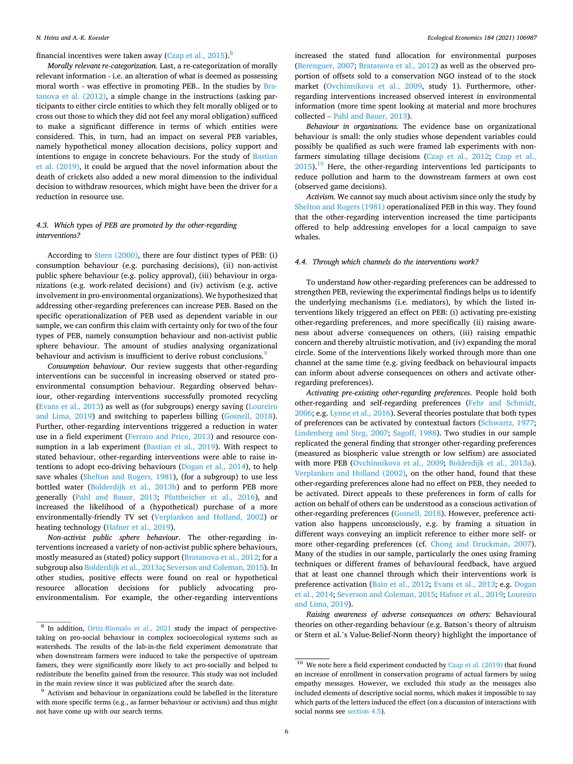<span id="page-5-0"></span>financial incentives were taken away (Czap et al.,  $2015$ ).<sup>8</sup>

*Morally relevant re-categorization.* Last, a re-categorization of morally relevant information - i.e. an alteration of what is deemed as possessing moral worth - was effective in promoting PEB.. In the studies by [Bra](#page-12-0)[tanova et al. \(2012\)](#page-12-0), a simple change in the instructions (asking participants to either circle entities to which they felt morally obliged or to cross out those to which they did not feel any moral obligation) sufficed to make a significant difference in terms of which entities were considered. This, in turn, had an impact on several PEB variables, namely hypothetical money allocation decisions, policy support and intentions to engage in concrete behaviours. For the study of [Bastian](#page-12-0)  [et al. \(2019\),](#page-12-0) it could be argued that the novel information about the death of crickets also added a new moral dimension to the individual decision to withdraw resources, which might have been the driver for a reduction in resource use.

# *4.3. Which types of PEB are promoted by the other-regarding interventions?*

According to [Stern \(2000\)](#page-13-0), there are four distinct types of PEB: (i) consumption behaviour (e.g. purchasing decisions), (ii) non-activist public sphere behaviour (e.g. policy approval), (iii) behaviour in organizations (e.g. work-related decisions) and (iv) activism (e.g. active involvement in pro-environmental organizations). We hypothesized that addressing other-regarding preferences can increase PEB. Based on the specific operationalization of PEB used as dependent variable in our sample, we can confirm this claim with certainty only for two of the four types of PEB, namely consumption behaviour and non-activist public sphere behaviour. The amount of studies analysing organizational behaviour and activism is insufficient to derive robust conclusions.<sup>9</sup>

*Consumption behaviour.* Our review suggests that other-regarding interventions can be successful in increasing observed or stated proenvironmental consumption behaviour. Regarding observed behaviour, other-regarding interventions successfully promoted recycling ([Evans et al., 2013](#page-12-0)) as well as (for subgroups) energy saving ([Loureiro](#page-13-0)  [and Lima, 2019\)](#page-13-0) and switching to paperless billing [\(Gosnell, 2018](#page-12-0)). Further, other-regarding interventions triggered a reduction in water use in a field experiment [\(Ferraro and Price, 2013\)](#page-12-0) and resource consumption in a lab experiment [\(Bastian et al., 2019\)](#page-12-0). With respect to stated behaviour, other-regarding interventions were able to raise intentions to adopt eco-driving behaviours ([Dogan et al., 2014](#page-12-0)), to help save whales ([Shelton and Rogers, 1981](#page-13-0)), (for a subgroup) to use less bottled water [\(Bolderdijk et al., 2013b\)](#page-12-0) and to perform PEB more generally ([Pahl and Bauer, 2013;](#page-13-0) [Pfattheicher et al., 2016](#page-13-0)), and increased the likelihood of a (hypothetical) purchase of a more environmentally-friendly TV set ([Verplanken and Holland, 2002](#page-13-0)) or heating technology ([Hafner et al., 2019](#page-12-0)).

*Non-activist public sphere behaviour*. The other-regarding interventions increased a variety of non-activist public sphere behaviours, mostly measured as (stated) policy support ([Bratanova et al., 2012;](#page-12-0) for a subgroup also [Bolderdijk et al., 2013a](#page-12-0); [Severson and Coleman, 2015](#page-13-0)). In other studies, positive effects were found on real or hypothetical resource allocation decisions for publicly advocating proenvironmentalism. For example, the other-regarding interventions

increased the stated fund allocation for environmental purposes ([Berenguer, 2007](#page-12-0); [Bratanova et al., 2012](#page-12-0)) as well as the observed proportion of offsets sold to a conservation NGO instead of to the stock market [\(Ovchinnikova et al., 2009,](#page-13-0) study 1). Furthermore, otherregarding interventions increased observed interest in environmental information (more time spent looking at material and more brochures collected – [Pahl and Bauer, 2013](#page-13-0)).

*Behaviour in organizations.* The evidence base on organizational behaviour is small: the only studies whose dependent variables could possibly be qualified as such were framed lab experiments with nonfarmers simulating tillage decisions ([Czap et al., 2012;](#page-12-0) [Czap et al.,](#page-12-0)   $2015$ ).<sup>10</sup> Here, the other-regarding interventions led participants to reduce pollution and harm to the downstream farmers at own cost (observed game decisions).

*Activism.* We cannot say much about activism since only the study by [Shelton and Rogers \(1981\)](#page-13-0) operationalized PEB in this way. They found that the other-regarding intervention increased the time participants offered to help addressing envelopes for a local campaign to save whales.

### *4.4. Through which channels do the interventions work?*

To understand *how* other-regarding preferences can be addressed to strengthen PEB, reviewing the experimental findings helps us to identify the underlying mechanisms (i.e. mediators), by which the listed interventions likely triggered an effect on PEB: (i) activating pre-existing other-regarding preferences, and more specifically (ii) raising awareness about adverse consequences on others, (iii) raising empathic concern and thereby altruistic motivation, and (iv) expanding the moral circle. Some of the interventions likely worked through more than one channel at the same time (e.g. giving feedback on behavioural impacts can inform about adverse consequences on others and activate otherregarding preferences).

*Activating pre-existing other-regarding preferences*. People hold both other-regarding and self-regarding preferences [\(Fehr and Schmidt,](#page-12-0)  [2006;](#page-12-0) e.g. [Lynne et al., 2016](#page-13-0)). Several theories postulate that both types of preferences can be activated by contextual factors [\(Schwartz, 1977](#page-13-0); [Lindenberg and Steg, 2007;](#page-13-0) [Sagoff, 1988\)](#page-13-0). Two studies in our sample replicated the general finding that stronger other-regarding preferences (measured as biospheric value strength or low selfism) are associated with more PEB [\(Ovchinnikova et al., 2009](#page-13-0); [Bolderdijk et al., 2013a](#page-12-0)). [Verplanken and Holland \(2002\),](#page-13-0) on the other hand, found that these other-regarding preferences alone had no effect on PEB, they needed to be activated. Direct appeals to these preferences in form of calls for action on behalf of others can be understood as a conscious activation of other-regarding preferences ([Gosnell, 2018\)](#page-12-0). However, preference activation also happens unconsciously, e.g. by framing a situation in different ways conveying an implicit reference to either more self- or more other-regarding preferences (cf. [Chong and Druckman, 2007](#page-12-0)). Many of the studies in our sample, particularly the ones using framing techniques or different frames of behavioural feedback, have argued that at least one channel through which their interventions work is preference activation [\(Bain et al., 2012](#page-12-0); [Evans et al., 2013;](#page-12-0) e.g. [Dogan](#page-12-0)  [et al., 2014](#page-12-0); [Severson and Coleman, 2015;](#page-13-0) [Hafner et al., 2019](#page-12-0); [Loureiro](#page-13-0)  [and Lima, 2019](#page-13-0)).

*Raising awareness of adverse consequences on others:* Behavioural theories on other-regarding behaviour (e.g. Batson's theory of altruism or Stern et al.'s Value-Belief-Norm theory) highlight the importance of

<sup>8</sup> In addition, [Ortiz-Riomalo et al., 2021](#page-13-0) study the impact of perspectivetaking on pro-social behaviour in complex socioecological systems such as watersheds. The results of the lab-in-the field experiment demonstrate that when downstream farmers were induced to take the perspective of upstream famers, they were significantly more likely to act pro-socially and helped to redistribute the benefits gained from the resource. This study was not included in the main review since it was publicized after the search date.<br><sup>9</sup> Activism and behaviour in organizations could be labelled in the literature

with more specific terms (e.g., as farmer behaviour or activism) and thus might not have come up with our search terms.

 $10$  We note here a field experiment conducted by [Czap et al. \(2019\)](#page-12-0) that found an increase of enrollment in conservation programs of actual farmers by using empathy messages. However, we excluded this study as the messages also included elements of descriptive social norms, which makes it impossible to say which parts of the letters induced the effect (on a discussion of interactions with social norms see [section 4.5](#page-6-0)).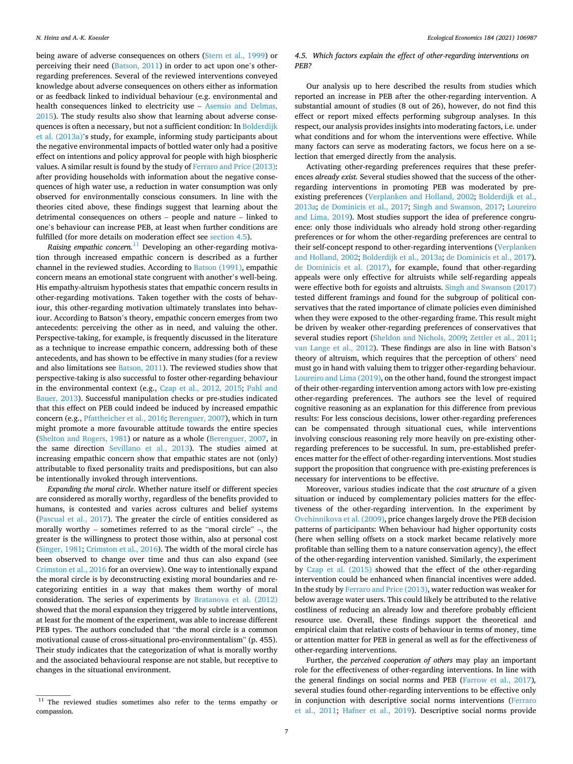<span id="page-6-0"></span>being aware of adverse consequences on others [\(Stern et al., 1999](#page-13-0)) or perceiving their need [\(Batson, 2011\)](#page-12-0) in order to act upon one's otherregarding preferences. Several of the reviewed interventions conveyed knowledge about adverse consequences on others either as information or as feedback linked to individual behaviour (e.g. environmental and health consequences linked to electricity use – [Asensio and Delmas,](#page-12-0)  [2015\)](#page-12-0). The study results also show that learning about adverse consequences is often a necessary, but not a sufficient condition: In Bolderdijk [et al. \(2013a\)](#page-12-0)'s study, for example, informing study participants about the negative environmental impacts of bottled water only had a positive effect on intentions and policy approval for people with high biospheric values. A similar result is found by the study of [Ferraro and Price \(2013\)](#page-12-0): after providing households with information about the negative consequences of high water use, a reduction in water consumption was only observed for environmentally conscious consumers. In line with the theories cited above, these findings suggest that learning about the detrimental consequences on others – people and nature – linked to one's behaviour can increase PEB, at least when further conditions are fulfilled (for more details on moderation effect see section 4.5).

*Raising empathic concern.*11 Developing an other-regarding motivation through increased empathic concern is described as a further channel in the reviewed studies. According to [Batson \(1991\)](#page-12-0), empathic concern means an emotional state congruent with another's well-being. His empathy-altruism hypothesis states that empathic concern results in other-regarding motivations. Taken together with the costs of behaviour, this other-regarding motivation ultimately translates into behaviour. According to Batson's theory, empathic concern emerges from two antecedents: perceiving the other as in need, and valuing the other. Perspective-taking, for example, is frequently discussed in the literature as a technique to increase empathic concern, addressing both of these antecedents, and has shown to be effective in many studies (for a review and also limitations see [Batson, 2011](#page-12-0)). The reviewed studies show that perspective-taking is also successful to foster other-regarding behaviour in the environmental context (e.g., [Czap et al., 2012, 2015;](#page-12-0) [Pahl and](#page-13-0)  [Bauer, 2013](#page-13-0)). Successful manipulation checks or pre-studies indicated that this effect on PEB could indeed be induced by increased empathic concern (e.g., [Pfattheicher et al., 2016;](#page-13-0) [Berenguer, 2007](#page-12-0)), which in turn might promote a more favourable attitude towards the entire species ([Shelton and Rogers, 1981](#page-13-0)) or nature as a whole ([Berenguer, 2007,](#page-12-0) in the same direction [Sevillano et al., 2013\)](#page-13-0). The studies aimed at increasing empathic concern show that empathic states are not (only) attributable to fixed personality traits and predispositions, but can also be intentionally invoked through interventions.

*Expanding the moral circle*. Whether nature itself or different species are considered as morally worthy, regardless of the benefits provided to humans, is contested and varies across cultures and belief systems ([Pascual et al., 2017\)](#page-13-0). The greater the circle of entities considered as morally worthy – sometimes referred to as the "moral circle" –, the greater is the willingness to protect those within, also at personal cost ([Singer, 1981](#page-13-0); [Crimston et al., 2016](#page-12-0)). The width of the moral circle has been observed to change over time and thus can also expand (see [Crimston et al., 2016](#page-12-0) for an overview). One way to intentionally expand the moral circle is by deconstructing existing moral boundaries and recategorizing entities in a way that makes them worthy of moral consideration. The series of experiments by [Bratanova et al. \(2012\)](#page-12-0)  showed that the moral expansion they triggered by subtle interventions, at least for the moment of the experiment, was able to increase different PEB types. The authors concluded that "the moral circle is a common motivational cause of cross-situational pro-environmentalism" (p. 455). Their study indicates that the categorization of what is morally worthy and the associated behavioural response are not stable, but receptive to changes in the situational environment.

# *4.5. Which factors explain the effect of other-regarding interventions on PEB?*

Our analysis up to here described the results from studies which reported an increase in PEB after the other-regarding intervention. A substantial amount of studies (8 out of 26), however, do not find this effect or report mixed effects performing subgroup analyses. In this respect, our analysis provides insights into moderating factors, i.e. under what conditions and for whom the interventions were effective. While many factors can serve as moderating factors, we focus here on a selection that emerged directly from the analysis.

Activating other-regarding preferences requires that these preferences *already exist.* Several studies showed that the success of the otherregarding interventions in promoting PEB was moderated by preexisting preferences ([Verplanken and Holland, 2002;](#page-13-0) [Bolderdijk et al.,](#page-12-0)  [2013a;](#page-12-0) [de Dominicis et al., 2017;](#page-12-0) [Singh and Swanson, 2017;](#page-13-0) [Loureiro](#page-13-0)  [and Lima, 2019](#page-13-0)). Most studies support the idea of preference congruence: only those individuals who already hold strong other-regarding preferences or for whom the other-regarding preferences are central to their self-concept respond to other-regarding interventions [\(Verplanken](#page-13-0)  [and Holland, 2002](#page-13-0); [Bolderdijk et al., 2013a; de Dominicis et al., 2017](#page-12-0)). [de Dominicis et al. \(2017\),](#page-12-0) for example, found that other-regarding appeals were only effective for altruists while self-regarding appeals were effective both for egoists and altruists. [Singh and Swanson \(2017\)](#page-13-0)  tested different framings and found for the subgroup of political conservatives that the rated importance of climate policies even diminished when they were exposed to the other-regarding frame. This result might be driven by weaker other-regarding preferences of conservatives that several studies report [\(Sheldon and Nichols, 2009](#page-13-0); [Zettler et al., 2011](#page-13-0); [van Lange et al., 2012](#page-13-0)). These findings are also in line with Batson's theory of altruism, which requires that the perception of others' need must go in hand with valuing them to trigger other-regarding behaviour. [Loureiro and Lima \(2019\)](#page-13-0), on the other hand, found the strongest impact of their other-regarding intervention among actors with low pre-existing other-regarding preferences. The authors see the level of required cognitive reasoning as an explanation for this difference from previous results: For less conscious decisions, lower other-regarding preferences can be compensated through situational cues, while interventions involving conscious reasoning rely more heavily on pre-existing otherregarding preferences to be successful. In sum, pre-established preferences matter for the effect of other-regarding interventions. Most studies support the proposition that congruence with pre-existing preferences is necessary for interventions to be effective.

Moreover, various studies indicate that the *cost structure* of a given situation or induced by complementary policies matters for the effectiveness of the other-regarding intervention. In the experiment by [Ovchinnikova et al. \(2009\),](#page-13-0) price changes largely drove the PEB decision patterns of participants: When behaviour had higher opportunity costs (here when selling offsets on a stock market became relatively more profitable than selling them to a nature conservation agency), the effect of the other-regarding intervention vanished. Similarly, the experiment by [Czap et al. \(2015\)](#page-12-0) showed that the effect of the other-regarding intervention could be enhanced when financial incentives were added. In the study by [Ferraro and Price \(2013\),](#page-12-0) water reduction was weaker for below average water users. This could likely be attributed to the relative costliness of reducing an already low and therefore probably efficient resource use. Overall, these findings support the theoretical and empirical claim that relative costs of behaviour in terms of money, time or attention matter for PEB in general as well as for the effectiveness of other-regarding interventions.

Further, the *perceived cooperation of others* may play an important role for the effectiveness of other-regarding interventions. In line with the general findings on social norms and PEB [\(Farrow et al., 2017](#page-12-0))*,*  several studies found other-regarding interventions to be effective only in conjunction with descriptive social norms interventions ([Ferraro](#page-12-0)  [et al., 2011](#page-12-0); [Hafner et al., 2019\)](#page-12-0). Descriptive social norms provide

<sup>&</sup>lt;sup>11</sup> The reviewed studies sometimes also refer to the terms empathy or compassion.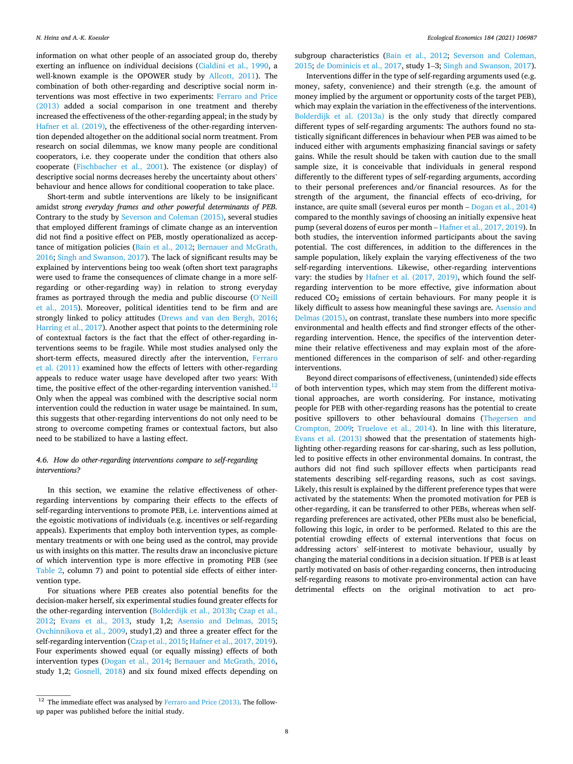<span id="page-7-0"></span>information on what other people of an associated group do, thereby exerting an influence on individual decisions ([Cialdini et al., 1990](#page-12-0), a well-known example is the OPOWER study by [Allcott, 2011\)](#page-12-0). The combination of both other-regarding and descriptive social norm interventions was most effective in two experiments: [Ferraro and Price](#page-12-0)  [\(2013\)](#page-12-0) added a social comparison in one treatment and thereby increased the effectiveness of the other-regarding appeal; in the study by [Hafner et al. \(2019\)](#page-12-0), the effectiveness of the other-regarding intervention depended altogether on the additional social norm treatment. From research on social dilemmas, we know many people are conditional cooperators, i.e. they cooperate under the condition that others also cooperate ([Fischbacher et al., 2001](#page-12-0)). The existence (or display) of descriptive social norms decreases hereby the uncertainty about others' behaviour and hence allows for conditional cooperation to take place.

Short-term and subtle interventions are likely to be insignificant amidst s*trong everyday frames and other powerful determinants of PEB.*  Contrary to the study by [Severson and Coleman \(2015\),](#page-13-0) several studies that employed different framings of climate change as an intervention did not find a positive effect on PEB, mostly operationalized as acceptance of mitigation policies ([Bain et al., 2012](#page-12-0); [Bernauer and McGrath,](#page-12-0)  [2016;](#page-12-0) [Singh and Swanson, 2017\)](#page-13-0). The lack of significant results may be explained by interventions being too weak (often short text paragraphs were used to frame the consequences of climate change in a more selfregarding or other-regarding way) in relation to strong everyday frames as portrayed through the media and public discourse (O'[Neill](#page-13-0)  [et al., 2015\)](#page-13-0). Moreover, political identities tend to be firm and are strongly linked to policy attitudes ([Drews and van den Bergh, 2016](#page-12-0); [Harring et al., 2017](#page-12-0)). Another aspect that points to the determining role of contextual factors is the fact that the effect of other-regarding interventions seems to be fragile. While most studies analysed only the short-term effects, measured directly after the intervention, [Ferraro](#page-12-0)  [et al. \(2011\)](#page-12-0) examined how the effects of letters with other-regarding appeals to reduce water usage have developed after two years: With time, the positive effect of the other-regarding intervention vanished.<sup>12</sup> Only when the appeal was combined with the descriptive social norm intervention could the reduction in water usage be maintained. In sum, this suggests that other-regarding interventions do not only need to be strong to overcome competing frames or contextual factors, but also need to be stabilized to have a lasting effect.

# *4.6. How do other-regarding interventions compare to self-regarding interventions?*

In this section, we examine the relative effectiveness of otherregarding interventions by comparing their effects to the effects of self-regarding interventions to promote PEB, i.e. interventions aimed at the egoistic motivations of individuals (e.g. incentives or self-regarding appeals). Experiments that employ both intervention types, as complementary treatments or with one being used as the control, may provide us with insights on this matter. The results draw an inconclusive picture of which intervention type is more effective in promoting PEB (see [Table 2,](#page-4-0) column 7) and point to potential side effects of either intervention type.

For situations where PEB creates also potential benefits for the decision-maker herself, six experimental studies found greater effects for the other-regarding intervention ([Bolderdijk et al., 2013b](#page-12-0); [Czap et al.,](#page-12-0)  [2012;](#page-12-0) [Evans et al., 2013,](#page-12-0) study 1,2; [Asensio and Delmas, 2015](#page-12-0); [Ovchinnikova et al., 2009](#page-13-0), study1,2) and three a greater effect for the self-regarding intervention ([Czap et al., 2015](#page-12-0); [Hafner et al., 2017, 2019](#page-12-0)). Four experiments showed equal (or equally missing) effects of both intervention types ([Dogan et al., 2014;](#page-12-0) [Bernauer and McGrath, 2016](#page-12-0), study 1,2; [Gosnell, 2018](#page-12-0)) and six found mixed effects depending on subgroup characteristics [\(Bain et al., 2012](#page-12-0); [Severson and Coleman,](#page-13-0)  [2015;](#page-13-0) [de Dominicis et al., 2017,](#page-12-0) study 1–3; [Singh and Swanson, 2017](#page-13-0)).

Interventions differ in the type of self-regarding arguments used (e.g. money, safety, convenience) and their strength (e.g. the amount of money implied by the argument or opportunity costs of the target PEB), which may explain the variation in the effectiveness of the interventions. [Bolderdijk et al. \(2013a\)](#page-12-0) is the only study that directly compared different types of self-regarding arguments: The authors found no statistically significant differences in behaviour when PEB was aimed to be induced either with arguments emphasizing financial savings or safety gains. While the result should be taken with caution due to the small sample size, it is conceivable that individuals in general respond differently to the different types of self-regarding arguments, according to their personal preferences and/or financial resources. As for the strength of the argument, the financial effects of eco-driving, for instance, are quite small (several euros per month – [Dogan et al., 2014\)](#page-12-0) compared to the monthly savings of choosing an initially expensive heat pump (several dozens of euros per month – [Hafner et al., 2017, 2019\)](#page-12-0). In both studies, the intervention informed participants about the saving potential. The cost differences, in addition to the differences in the sample population, likely explain the varying effectiveness of the two self-regarding interventions. Likewise, other-regarding interventions vary: the studies by [Hafner et al. \(2017, 2019\),](#page-12-0) which found the selfregarding intervention to be more effective, give information about reduced CO<sub>2</sub> emissions of certain behaviours. For many people it is likely difficult to assess how meaningful these savings are. [Asensio and](#page-12-0)  [Delmas \(2015\),](#page-12-0) on contrast, translate these numbers into more specific environmental and health effects and find stronger effects of the otherregarding intervention. Hence, the specifics of the intervention determine their relative effectiveness and may explain most of the aforementioned differences in the comparison of self- and other-regarding interventions.

Beyond direct comparisons of effectiveness, (unintended) side effects of both intervention types, which may stem from the different motivational approaches, are worth considering. For instance, motivating people for PEB with other-regarding reasons has the potential to create positive spillovers to other behavioural domains (Thø[gersen and](#page-13-0)  [Crompton, 2009;](#page-13-0) [Truelove et al., 2014\)](#page-13-0). In line with this literature, [Evans et al. \(2013\)](#page-12-0) showed that the presentation of statements highlighting other-regarding reasons for car-sharing, such as less pollution, led to positive effects in other environmental domains. In contrast, the authors did not find such spillover effects when participants read statements describing self-regarding reasons, such as cost savings. Likely, this result is explained by the different preference types that were activated by the statements: When the promoted motivation for PEB is other-regarding, it can be transferred to other PEBs, whereas when selfregarding preferences are activated, other PEBs must also be beneficial, following this logic, in order to be performed. Related to this are the potential crowding effects of external interventions that focus on addressing actors' self-interest to motivate behaviour, usually by changing the material conditions in a decision situation. If PEB is at least partly motivated on basis of other-regarding concerns, then introducing self-regarding reasons to motivate pro-environmental action can have detrimental effects on the original motivation to act pro-

 $^{12}\,$  The immediate effect was analysed by [Ferraro and Price \(2013\).](#page-12-0) The followup paper was published before the initial study.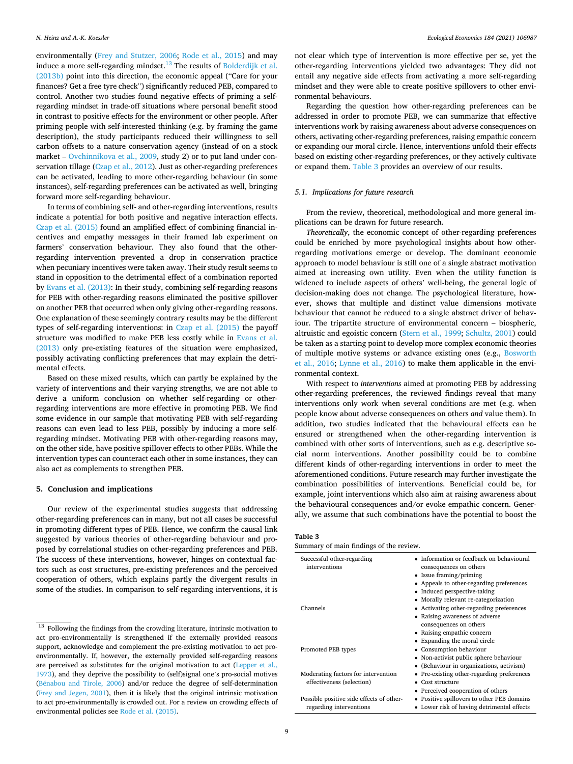environmentally ([Frey and Stutzer, 2006](#page-12-0); [Rode et al., 2015\)](#page-13-0) and may induce a more self-regarding mindset.<sup>13</sup> The results of Bolderdijk et al. [\(2013b\)](#page-12-0) point into this direction, the economic appeal ("Care for your finances? Get a free tyre check") significantly reduced PEB, compared to control. Another two studies found negative effects of priming a selfregarding mindset in trade-off situations where personal benefit stood in contrast to positive effects for the environment or other people. After priming people with self-interested thinking (e.g. by framing the game description), the study participants reduced their willingness to sell carbon offsets to a nature conservation agency (instead of on a stock market – [Ovchinnikova et al., 2009](#page-13-0), study 2) or to put land under conservation tillage [\(Czap et al., 2012](#page-12-0)). Just as other-regarding preferences can be activated, leading to more other-regarding behaviour (in some instances), self-regarding preferences can be activated as well, bringing forward more self-regarding behaviour.

In terms of combining self- and other-regarding interventions, results indicate a potential for both positive and negative interaction effects. [Czap et al. \(2015\)](#page-12-0) found an amplified effect of combining financial incentives and empathy messages in their framed lab experiment on farmers' conservation behaviour. They also found that the otherregarding intervention prevented a drop in conservation practice when pecuniary incentives were taken away. Their study result seems to stand in opposition to the detrimental effect of a combination reported by [Evans et al. \(2013\)](#page-12-0): In their study, combining self-regarding reasons for PEB with other-regarding reasons eliminated the positive spillover on another PEB that occurred when only giving other-regarding reasons. One explanation of these seemingly contrary results may be the different types of self-regarding interventions: in [Czap et al. \(2015\)](#page-12-0) the payoff structure was modified to make PEB less costly while in [Evans et al.](#page-12-0)  [\(2013\)](#page-12-0) only pre-existing features of the situation were emphasized, possibly activating conflicting preferences that may explain the detrimental effects.

Based on these mixed results, which can partly be explained by the variety of interventions and their varying strengths, we are not able to derive a uniform conclusion on whether self-regarding or otherregarding interventions are more effective in promoting PEB. We find some evidence in our sample that motivating PEB with self-regarding reasons can even lead to less PEB, possibly by inducing a more selfregarding mindset. Motivating PEB with other-regarding reasons may, on the other side, have positive spillover effects to other PEBs. While the intervention types can counteract each other in some instances, they can also act as complements to strengthen PEB.

# **5. Conclusion and implications**

Our review of the experimental studies suggests that addressing other-regarding preferences can in many, but not all cases be successful in promoting different types of PEB. Hence, we confirm the causal link suggested by various theories of other-regarding behaviour and proposed by correlational studies on other-regarding preferences and PEB. The success of these interventions, however, hinges on contextual factors such as cost structures, pre-existing preferences and the perceived cooperation of others, which explains partly the divergent results in some of the studies. In comparison to self-regarding interventions, it is not clear which type of intervention is more effective per se, yet the other-regarding interventions yielded two advantages: They did not entail any negative side effects from activating a more self-regarding mindset and they were able to create positive spillovers to other environmental behaviours.

Regarding the question how other-regarding preferences can be addressed in order to promote PEB, we can summarize that effective interventions work by raising awareness about adverse consequences on others, activating other-regarding preferences, raising empathic concern or expanding our moral circle. Hence, interventions unfold their effects based on existing other-regarding preferences, or they actively cultivate or expand them. Table 3 provides an overview of our results.

#### *5.1. Implications for future research*

From the review, theoretical, methodological and more general implications can be drawn for future research.

*Theoretically*, the economic concept of other-regarding preferences could be enriched by more psychological insights about how otherregarding motivations emerge or develop. The dominant economic approach to model behaviour is still one of a single abstract motivation aimed at increasing own utility. Even when the utility function is widened to include aspects of others' well-being, the general logic of decision-making does not change. The psychological literature, however, shows that multiple and distinct value dimensions motivate behaviour that cannot be reduced to a single abstract driver of behaviour. The tripartite structure of environmental concern – biospheric, altruistic and egoistic concern [\(Stern et al., 1999; Schultz, 2001\)](#page-13-0) could be taken as a starting point to develop more complex economic theories of multiple motive systems or advance existing ones (e.g., [Bosworth](#page-12-0)  [et al., 2016;](#page-12-0) [Lynne et al., 2016](#page-13-0)) to make them applicable in the environmental context.

With respect to *interventions* aimed at promoting PEB by addressing other-regarding preferences, the reviewed findings reveal that many interventions only work when several conditions are met (e.g. when people know about adverse consequences on others *and* value them). In addition, two studies indicated that the behavioural effects can be ensured or strengthened when the other-regarding intervention is combined with other sorts of interventions, such as e.g. descriptive social norm interventions. Another possibility could be to combine different kinds of other-regarding interventions in order to meet the aforementioned conditions. Future research may further investigate the combination possibilities of interventions. Beneficial could be, for example, joint interventions which also aim at raising awareness about the behavioural consequences and/or evoke empathic concern. Generally, we assume that such combinations have the potential to boost the

**Table 3** 

| Summary of main findings of the review. |  |  |  |
|-----------------------------------------|--|--|--|
|                                         |  |  |  |

| Successful other-regarding<br>interventions                         | • Information or feedback on behavioural<br>consequences on others<br>• Issue framing/priming<br>• Appeals to other-regarding preferences<br>• Induced perspective-taking<br>• Morally relevant re-categorization |
|---------------------------------------------------------------------|-------------------------------------------------------------------------------------------------------------------------------------------------------------------------------------------------------------------|
| Channels                                                            | • Activating other-regarding preferences<br>• Raising awareness of adverse<br>consequences on others<br>• Raising empathic concern                                                                                |
| Promoted PEB types                                                  | • Expanding the moral circle<br>• Consumption behaviour<br>• Non-activist public sphere behaviour<br>• (Behaviour in organizations, activism)                                                                     |
| Moderating factors for intervention<br>effectiveness (selection)    | • Pre-existing other-regarding preferences<br>Cost structure<br>• Perceived cooperation of others                                                                                                                 |
| Possible positive side effects of other-<br>regarding interventions | • Positive spillovers to other PEB domains<br>• Lower risk of having detrimental effects                                                                                                                          |

 $^{13}\,$  Following the findings from the crowding literature, intrinsic motivation to act pro-environmentally is strengthened if the externally provided reasons support, acknowledge and complement the pre-existing motivation to act proenvironmentally. If, however, the externally provided self-regarding reasons are perceived as substitutes for the original motivation to act [\(Lepper et al.,](#page-13-0)  [1973\)](#page-13-0), and they deprive the possibility to (self)signal one's pro-social motives (Bénabou and Tirole, 2006) and/or reduce the degree of self-determination [\(Frey and Jegen, 2001\)](#page-12-0), then it is likely that the original intrinsic motivation to act pro-environmentally is crowded out. For a review on crowding effects of environmental policies see [Rode et al. \(2015\).](#page-13-0)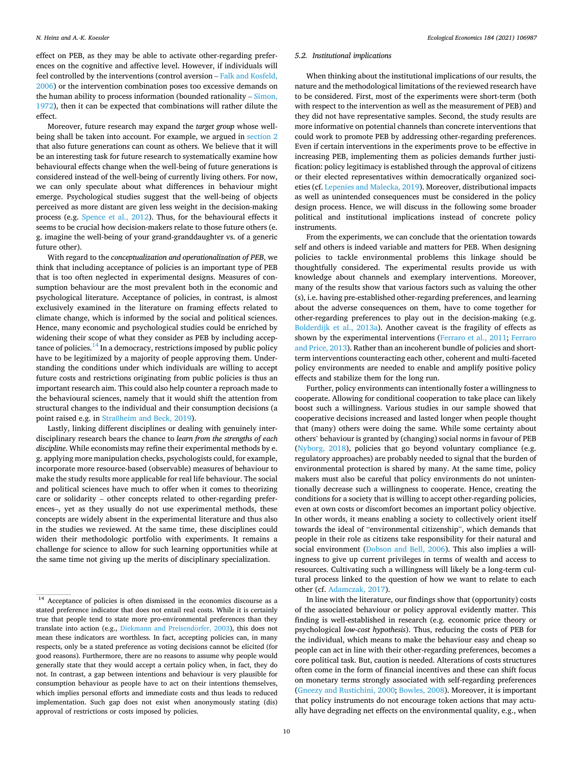effect on PEB, as they may be able to activate other-regarding preferences on the cognitive and affective level. However, if individuals will feel controlled by the interventions (control aversion – [Falk and Kosfeld,](#page-12-0)  [2006\)](#page-12-0) or the intervention combination poses too excessive demands on the human ability to process information (bounded rationality – [Simon,](#page-13-0)  [1972\)](#page-13-0), then it can be expected that combinations will rather dilute the effect.

Moreover, future research may expand the *target group* whose wellbeing shall be taken into account. For example, we argued in [section 2](#page-1-0)  that also future generations can count as others. We believe that it will be an interesting task for future research to systematically examine how behavioural effects change when the well-being of future generations is considered instead of the well-being of currently living others. For now, we can only speculate about what differences in behaviour might emerge. Psychological studies suggest that the well-being of objects perceived as more distant are given less weight in the decision-making process (e.g. [Spence et al., 2012\)](#page-13-0). Thus, for the behavioural effects it seems to be crucial how decision-makers relate to those future others (e. g. imagine the well-being of your grand-granddaughter vs. of a generic future other).

With regard to the *conceptualization and operationalization of PEB*, we think that including acceptance of policies is an important type of PEB that is too often neglected in experimental designs. Measures of consumption behaviour are the most prevalent both in the economic and psychological literature. Acceptance of policies, in contrast, is almost exclusively examined in the literature on framing effects related to climate change, which is informed by the social and political sciences. Hence, many economic and psychological studies could be enriched by widening their scope of what they consider as PEB by including acceptance of policies.<sup>14</sup> In a democracy, restrictions imposed by public policy have to be legitimized by a majority of people approving them. Understanding the conditions under which individuals are willing to accept future costs and restrictions originating from public policies is thus an important research aim. This could also help counter a reproach made to the behavioural sciences, namely that it would shift the attention from structural changes to the individual and their consumption decisions (a point raised e.g. in Straß[heim and Beck, 2019](#page-13-0)).

Lastly, linking different disciplines or dealing with genuinely interdisciplinary research bears the chance to *learn from the strengths of each discipline*. While economists may refine their experimental methods by e. g. applying more manipulation checks, psychologists could, for example, incorporate more resource-based (observable) measures of behaviour to make the study results more applicable for real life behaviour. The social and political sciences have much to offer when it comes to theorizing care or solidarity – other concepts related to other-regarding preferences–, yet as they usually do not use experimental methods, these concepts are widely absent in the experimental literature and thus also in the studies we reviewed. At the same time, these disciplines could widen their methodologic portfolio with experiments. It remains a challenge for science to allow for such learning opportunities while at the same time not giving up the merits of disciplinary specialization.

### *5.2. Institutional implications*

When thinking about the institutional implications of our results, the nature and the methodological limitations of the reviewed research have to be considered. First, most of the experiments were short-term (both with respect to the intervention as well as the measurement of PEB) and they did not have representative samples. Second, the study results are more informative on potential channels than concrete interventions that could work to promote PEB by addressing other-regarding preferences. Even if certain interventions in the experiments prove to be effective in increasing PEB, implementing them as policies demands further justification: policy legitimacy is established through the approval of citizens or their elected representatives within democratically organized societies (cf. [Lepenies and Malecka, 2019](#page-13-0)). Moreover, distributional impacts as well as unintended consequences must be considered in the policy design process. Hence, we will discuss in the following some broader political and institutional implications instead of concrete policy instruments.

From the experiments, we can conclude that the orientation towards self and others is indeed variable and matters for PEB. When designing policies to tackle environmental problems this linkage should be thoughtfully considered. The experimental results provide us with knowledge about channels and exemplary interventions. Moreover, many of the results show that various factors such as valuing the other (s), i.e. having pre-established other-regarding preferences, and learning about the adverse consequences on them, have to come together for other-regarding preferences to play out in the decision-making (e.g. [Bolderdijk et al., 2013a\)](#page-12-0). Another caveat is the fragility of effects as shown by the experimental interventions ([Ferraro et al., 2011;](#page-12-0) [Ferraro](#page-12-0)  [and Price, 2013\)](#page-12-0). Rather than an incoherent bundle of policies and shortterm interventions counteracting each other, coherent and multi-faceted policy environments are needed to enable and amplify positive policy effects and stabilize them for the long run.

Further, policy environments can intentionally foster a willingness to cooperate. Allowing for conditional cooperation to take place can likely boost such a willingness. Various studies in our sample showed that cooperative decisions increased and lasted longer when people thought that (many) others were doing the same. While some certainty about others' behaviour is granted by (changing) social norms in favour of PEB ([Nyborg, 2018\)](#page-13-0), policies that go beyond voluntary compliance (e.g. regulatory approaches) are probably needed to signal that the burden of environmental protection is shared by many. At the same time, policy makers must also be careful that policy environments do not unintentionally decrease such a willingness to cooperate. Hence, creating the conditions for a society that is willing to accept other-regarding policies, even at own costs or discomfort becomes an important policy objective. In other words, it means enabling a society to collectively orient itself towards the ideal of "environmental citizenship", which demands that people in their role as citizens take responsibility for their natural and social environment ([Dobson and Bell, 2006\)](#page-12-0). This also implies a willingness to give up current privileges in terms of wealth and access to resources. Cultivating such a willingness will likely be a long-term cultural process linked to the question of how we want to relate to each other (cf. [Adamczak, 2017\)](#page-12-0).

In line with the literature, our findings show that (opportunity) costs of the associated behaviour or policy approval evidently matter. This finding is well-established in research (e.g. economic price theory or psychological *low-cost hypothesis*). Thus, reducing the costs of PEB for the individual, which means to make the behaviour easy and cheap so people can act in line with their other-regarding preferences, becomes a core political task. But, caution is needed. Alterations of costs structures often come in the form of financial incentives and these can shift focus on monetary terms strongly associated with self-regarding preferences ([Gneezy and Rustichini, 2000; Bowles, 2008](#page-12-0)). Moreover, it is important that policy instruments do not encourage token actions that may actually have degrading net effects on the environmental quality, e.g., when

 $14$  Acceptance of policies is often dismissed in the economics discourse as a stated preference indicator that does not entail real costs. While it is certainly true that people tend to state more pro-environmental preferences than they translate into action (e.g., Diekmann and Preisendörfer, 2003), this does not mean these indicators are worthless. In fact, accepting policies can, in many respects, only be a stated preference as voting decisions cannot be elicited (for good reasons). Furthermore, there are no reasons to assume why people would generally state that they would accept a certain policy when, in fact, they do not. In contrast, a gap between intentions and behaviour is very plausible for consumption behaviour as people have to act on their intentions themselves, which implies personal efforts and immediate costs and thus leads to reduced implementation. Such gap does not exist when anonymously stating (dis) approval of restrictions or costs imposed by policies.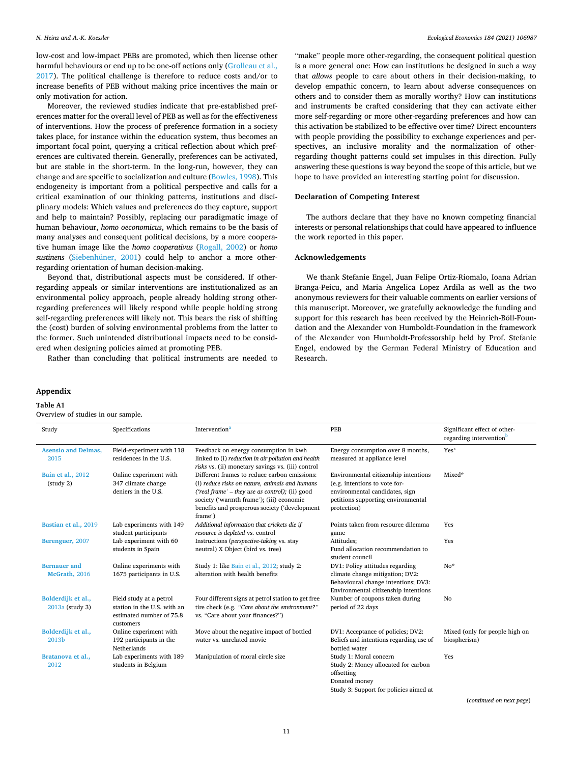#### <span id="page-10-0"></span>*N. Heinz and A.-K. Koessler*

low-cost and low-impact PEBs are promoted, which then license other harmful behaviours or end up to be one-off actions only [\(Grolleau et al.,](#page-12-0)  [2017\)](#page-12-0). The political challenge is therefore to reduce costs and/or to increase benefits of PEB without making price incentives the main or only motivation for action.

Moreover, the reviewed studies indicate that pre-established preferences matter for the overall level of PEB as well as for the effectiveness of interventions. How the process of preference formation in a society takes place, for instance within the education system, thus becomes an important focal point, querying a critical reflection about which preferences are cultivated therein. Generally, preferences can be activated, but are stable in the short-term. In the long-run, however, they can change and are specific to socialization and culture ([Bowles, 1998\)](#page-12-0). This endogeneity is important from a political perspective and calls for a critical examination of our thinking patterns, institutions and disciplinary models: Which values and preferences do they capture, support and help to maintain? Possibly, replacing our paradigmatic image of human behaviour, *homo oeconomicus*, which remains to be the basis of many analyses and consequent political decisions, by a more cooperative human image like the *homo cooperativus* [\(Rogall, 2002](#page-13-0)) or *homo sustinens* ([Siebenhüner, 2001\)](#page-13-0) could help to anchor a more otherregarding orientation of human decision-making.

Beyond that, distributional aspects must be considered. If otherregarding appeals or similar interventions are institutionalized as an environmental policy approach, people already holding strong otherregarding preferences will likely respond while people holding strong self-regarding preferences will likely not. This bears the risk of shifting the (cost) burden of solving environmental problems from the latter to the former. Such unintended distributional impacts need to be considered when designing policies aimed at promoting PEB.

Rather than concluding that political instruments are needed to

#### **Appendix**

Overview of studies in our sample.

**Table A1** 

Study Specific[a](#page-11-0)tions Intervention<sup>a</sup> PEB PER Significant effect of otherregarding intervention **[Asensio and Delmas,](#page-12-0)**  [2015](#page-12-0)  Field-experiment with 118 residences in the U.S. Feedback on energy consumption in kwh linked to (i) *reduction in air pollution and health risks* vs. (ii) monetary savings vs. (iii) control Energy consumption over 8 months, measured at appliance level Yes<sup>\*</sup> **[Bain et al.,](#page-12-0)** 2012 (study 2) Online experiment with 347 climate change deniers in the U.S. Different frames to reduce carbon emissions: (i) *reduce risks on nature, animals and humans ('real frame'* – *they use as control);* (ii) good society ('warmth frame'); (iii) economic benefits and prosperous society ('development frame') Environmental citizenship intentions (e.g. intentions to vote forenvironmental candidates, sign petitions supporting environmental protection) Mixed\* **[Bastian et al.,](#page-12-0)** 2019 Lab experiments with 149 student participants *Additional information that crickets die if resource is depleted* vs. control Points taken from resource dilemma game Yes **[Berenguer,](#page-12-0)** 2007 Lab experiment with 60 students in Spain Instructions (*perspective-taking* vs. stay neutral) X Object (bird vs. tree) Attitudes; Fund allocation recommendation to student council Yes **[Bernauer and](#page-12-0)  [McGrath,](#page-12-0)** 2016 Online experiments with 1675 participants in U.S. Study 1: like [Bain et al., 2012](#page-12-0); study 2: alteration with health benefits DV1: Policy attitudes regarding climate change mitigation; DV2: Behavioural change intentions; DV3: Environmental citizenship intentions No\* **[Bolderdijk et al.,](#page-12-0)**  [2013a](#page-12-0) (study 3) Field study at a petrol station in the U.S. with an estimated number of 75.8 customers Four different signs at petrol station to get free tire check (e.g. *"Care about the environment?"*  vs. "Care about your finances?") Number of coupons taken during period of 22 days No **[Bolderdijk et al.,](#page-12-0)**  [2013b](#page-12-0) Online experiment with 192 participants in the Netherlands Move about the negative impact of bottled water vs. unrelated movie DV1: Acceptance of policies; DV2: Beliefs and intentions regarding use of bottled water Mixed (only for people high on biospherism) **[Bratanova et al.,](#page-12-0)**  [2012](#page-12-0)  Lab experiments with 189 students in Belgium Manipulation of moral circle size Study 1: Moral concern Study 2: Money allocated for carbon offsetting Donated money Study 3: Support for policies aimed at Yes

(*continued on next page*)

"make" people more other-regarding, the consequent political question is a more general one: How can institutions be designed in such a way that *allows* people to care about others in their decision-making, to develop empathic concern, to learn about adverse consequences on others and to consider them as morally worthy? How can institutions and instruments be crafted considering that they can activate either more self-regarding or more other-regarding preferences and how can this activation be stabilized to be effective over time? Direct encounters with people providing the possibility to exchange experiences and perspectives, an inclusive morality and the normalization of otherregarding thought patterns could set impulses in this direction. Fully answering these questions is way beyond the scope of this article, but we hope to have provided an interesting starting point for discussion.

#### **Declaration of Competing Interest**

The authors declare that they have no known competing financial interests or personal relationships that could have appeared to influence the work reported in this paper.

# **Acknowledgements**

We thank Stefanie Engel, Juan Felipe Ortiz-Riomalo, Ioana Adrian Branga-Peicu, and Maria Angelica Lopez Ardila as well as the two anonymous reviewers for their valuable comments on earlier versions of this manuscript. Moreover, we gratefully acknowledge the funding and support for this research has been received by the Heinrich-Böll-Foundation and the Alexander von Humboldt-Foundation in the framework of the Alexander von Humboldt-Professorship held by Prof. Stefanie Engel, endowed by the German Federal Ministry of Education and Research.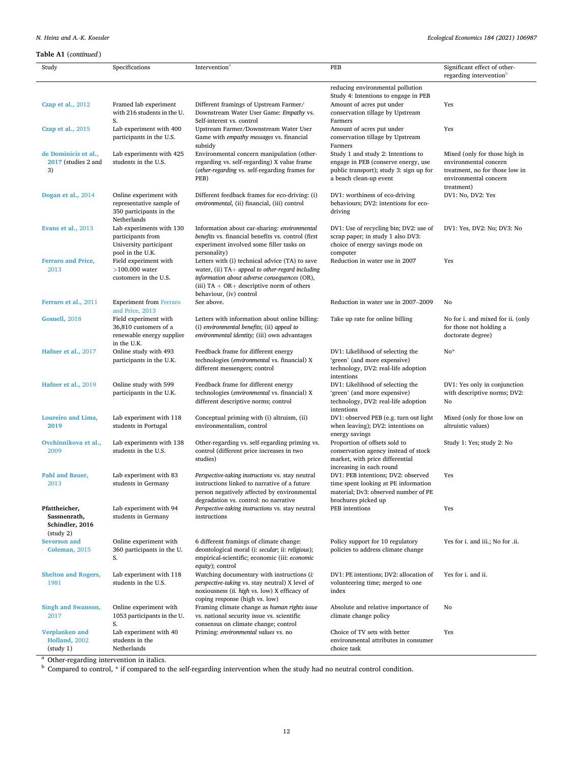# <span id="page-11-0"></span>*N. Heinz and A.-K. Koessler*

| Study                                       | Specifications                                        | Intervention <sup>a</sup>                                                                          | <b>PEB</b>                                                                  | Significant effect of other-                                 |
|---------------------------------------------|-------------------------------------------------------|----------------------------------------------------------------------------------------------------|-----------------------------------------------------------------------------|--------------------------------------------------------------|
|                                             |                                                       |                                                                                                    |                                                                             | regarding intervention <sup>b</sup>                          |
|                                             |                                                       |                                                                                                    | reducing environmental pollution<br>Study 4: Intentions to engage in PEB    |                                                              |
| Czap et al., 2012                           | Framed lab experiment                                 | Different framings of Upstream Farmer/                                                             | Amount of acres put under                                                   | Yes                                                          |
|                                             | with 216 students in the U.<br>S.                     | Downstream Water User Game: Empathy vs.<br>Self-interest vs. control                               | conservation tillage by Upstream<br>Farmers                                 |                                                              |
| Czap et al., 2015                           | Lab experiment with 400                               | Upstream Farmer/Downstream Water User                                                              | Amount of acres put under                                                   | Yes                                                          |
|                                             | participants in the U.S.                              | Game with empathy messages vs. financial<br>subsidy                                                | conservation tillage by Upstream<br>Farmers                                 |                                                              |
| de Dominicis et al.,<br>2017 (studies 2 and | Lab experiments with 425<br>students in the U.S.      | Environmental concern manipulation (other-                                                         | Study 1 and study 2: Intentions to<br>engage in PEB (conserve energy, use   | Mixed (only for those high in<br>environmental concern       |
| 3)                                          |                                                       | regarding vs. self-regarding) X value frame<br>(other-regarding vs. self-regarding frames for      | public transport); study 3: sign up for                                     | treatment, no for those low in                               |
|                                             |                                                       | PEB)                                                                                               | a beach clean-up event                                                      | environmental concern                                        |
|                                             | Online experiment with                                |                                                                                                    | DV1: worthiness of eco-driving                                              | treatment)<br>DV1: No, DV2: Yes                              |
| Dogan et al., 2014                          | representative sample of                              | Different feedback frames for eco-driving: (i)<br>environmental, (ii) financial, (iii) control     | behaviours; DV2: intentions for eco-                                        |                                                              |
|                                             | 350 participants in the                               |                                                                                                    | driving                                                                     |                                                              |
|                                             | Netherlands                                           |                                                                                                    |                                                                             |                                                              |
| Evans et al., 2013                          | Lab experiments with 130<br>participants from         | Information about car-sharing: environmental<br>benefits vs. financial benefits vs. control (first | DV1: Use of recycling bin; DV2: use of<br>scrap paper; in study 1 also DV3: | DV1: Yes, DV2: No; DV3: No                                   |
|                                             | University participant                                | experiment involved some filler tasks on                                                           | choice of energy savings mode on                                            |                                                              |
| <b>Ferraro and Price,</b>                   | pool in the U.K.<br>Field experiment with             | personality)<br>Letters with (i) technical advice (TA) to save                                     | computer<br>Reduction in water use in 2007                                  | Yes                                                          |
| 2013                                        | $>100.000$ water                                      | water, (ii) $TA+$ appeal to other-regard including                                                 |                                                                             |                                                              |
|                                             | customers in the U.S.                                 | information about adverse consequences (OR),                                                       |                                                                             |                                                              |
|                                             |                                                       | (iii) $TA + OR +$ descriptive norm of others<br>behaviour, (iv) control                            |                                                                             |                                                              |
| Ferraro et al., 2011                        | <b>Experiment from Ferraro</b>                        | See above.                                                                                         | Reduction in water use in 2007-2009                                         | No                                                           |
|                                             | and Price, 2013                                       |                                                                                                    |                                                                             |                                                              |
| Gosnell, 2018                               | Field experiment with<br>36,810 customers of a        | Letters with information about online billing:<br>(i) environmental benefits; (ii) appeal to       | Take up rate for online billing                                             | No for i. and mixed for ii. (only<br>for those not holding a |
|                                             | renewable energy supplier                             | environmental identity; (iii) own advantages                                                       |                                                                             | doctorate degree)                                            |
| Hafner et al., 2017                         | in the U.K.<br>Online study with 493                  | Feedback frame for different energy                                                                | DV1: Likelihood of selecting the                                            | No*                                                          |
|                                             | participants in the U.K.                              | technologies (environmental vs. financial) X                                                       | 'green' (and more expensive)                                                |                                                              |
|                                             |                                                       | different messengers; control                                                                      | technology, DV2: real-life adoption                                         |                                                              |
| Hafner et al., 2019                         | Online study with 599                                 | Feedback frame for different energy                                                                | intentions<br>DV1: Likelihood of selecting the                              | DV1: Yes only in conjunction                                 |
|                                             | participants in the U.K.                              | technologies (environmental vs. financial) X                                                       | 'green' (and more expensive)                                                | with descriptive norms; DV2:                                 |
|                                             |                                                       | different descriptive norms; control                                                               | technology, DV2: real-life adoption<br>intentions                           | No                                                           |
| Loureiro and Lima,                          | Lab experiment with 118                               | Conceptual priming with (i) altruism, (ii)                                                         | DV1: observed PEB (e.g. turn out light                                      | Mixed (only for those low on                                 |
| 2019                                        | students in Portugal                                  | environmentalism, control                                                                          | when leaving); DV2: intentions on                                           | altruistic values)                                           |
| Ovchinnikova et al.,                        | Lab experiments with 138                              | Other-regarding vs. self-regarding priming vs.                                                     | energy savings<br>Proportion of offsets sold to                             | Study 1: Yes; study 2: No                                    |
| 2009                                        | students in the U.S.                                  | control (different price increases in two                                                          | conservation agency instead of stock                                        |                                                              |
|                                             |                                                       | studies)                                                                                           | market, with price differential<br>increasing in each round                 |                                                              |
| <b>Pahl and Bauer.</b>                      | Lab experiment with 83                                | Perspective-taking instructions vs. stay neutral                                                   | DV1: PEB intentions; DV2: observed                                          | Yes                                                          |
| 2013                                        | students in Germany                                   | instructions linked to narrative of a future                                                       | time spent looking at PE information                                        |                                                              |
|                                             |                                                       | person negatively affected by environmental<br>degradation vs. control: no narrative               | material; Dv3: observed number of PE<br>brochures picked up                 |                                                              |
| Pfattheicher,                               | Lab experiment with 94                                | Perspective-taking instructions vs. stay neutral                                                   | PEB intentions                                                              | Yes                                                          |
| Sassnenrath,<br>Schindler, 2016             | students in Germany                                   | instructions                                                                                       |                                                                             |                                                              |
| (statq 2)                                   |                                                       |                                                                                                    |                                                                             |                                                              |
| <b>Severson</b> and                         | Online experiment with                                | 6 different framings of climate change:                                                            | Policy support for 10 regulatory                                            | Yes for i. and iii.; No for .ii.                             |
| Coleman, 2015                               | 360 participants in the U.<br>S.                      | deontological moral (i: secular; ii: religious);<br>empirical-scientific; economic (iii: economic  | policies to address climate change                                          |                                                              |
|                                             |                                                       | equity); control                                                                                   |                                                                             |                                                              |
| <b>Shelton and Rogers,</b><br>1981          | Lab experiment with 118<br>students in the U.S.       | Watching documentary with instructions (i:<br>perspective-taking vs. stay neutral) X level of      | DV1: PE intentions; DV2: allocation of                                      | Yes for i. and ii.                                           |
|                                             |                                                       | noxiousness (ii. high vs. low) X efficacy of                                                       | volunteering time; merged to one<br>index                                   |                                                              |
|                                             |                                                       | coping response (high vs. low)                                                                     |                                                                             |                                                              |
| Singh and Swanson,<br>2017                  | Online experiment with<br>1053 participants in the U. | Framing climate change as human rights issue<br>vs. national security issue vs. scientific         | Absolute and relative importance of<br>climate change policy                | No                                                           |
|                                             | S.                                                    | consensus on climate change; control                                                               |                                                                             |                                                              |
| Verplanken and                              | Lab experiment with 40                                | Priming: environmental values vs. no                                                               | Choice of TV sets with better                                               | Yes                                                          |
| <b>Holland</b> , 2002<br>(staty 1)          | students in the<br>Netherlands                        |                                                                                                    | environmental attributes in consumer<br>choice task                         |                                                              |

 $^{\rm a}$  Other-regarding intervention in italics.  $^{\rm b}$  Compared to control, \* if compared to the self-regarding intervention when the study had no neutral control condition.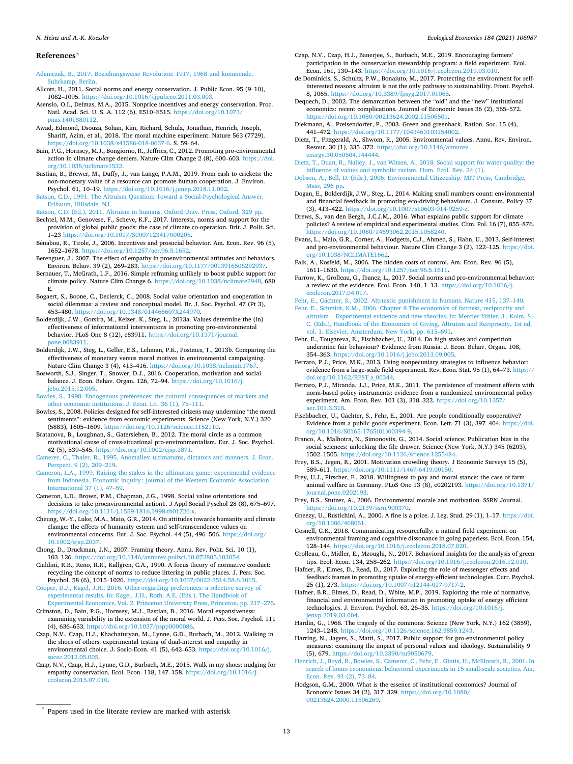#### *Ecological Economics 184 (2021) 106987*

#### <span id="page-12-0"></span>**References\***

[Adamczak, B., 2017. Beziehungsweise Revolution: 1917, 1968 und kommende.](http://refhub.elsevier.com/S0921-8009(21)00045-8/rf0005) [Suhrkamp, Berlin](http://refhub.elsevier.com/S0921-8009(21)00045-8/rf0005).

- Allcott, H., 2011. Social norms and energy conservation. J. Public Econ. 95 (9–10), 1082–1095. [https://doi.org/10.1016/j.jpubeco.2011.03.003.](https://doi.org/10.1016/j.jpubeco.2011.03.003)
- Asensio, O.I., Delmas, M.A., 2015. Nonprice incentives and energy conservation. Proc. Natl. Acad. Sci. U. S. A. 112 (6), E510–E515. [https://doi.org/10.1073/](https://doi.org/10.1073/pnas.1401880112) [pnas.1401880112](https://doi.org/10.1073/pnas.1401880112).
- Awad, Edmond, Dsouza, Sohan, Kim, Richard, Schulz, Jonathan, Henrich, Joseph, Shariff, Azim, et al., 2018. The moral machine experiment. Nature 563 (7729). [https://doi.org/10.1038/s41586-018-0637-6.](https://doi.org/10.1038/s41586-018-0637-6) S. 59–64.
- Bain, P.G., Hornsey, M.J., Bongiorno, R., Jeffries, C., 2012. Promoting pro-environmental action in climate change deniers. Nature Clim Change 2 (8), 600–603. [https://doi.](https://doi.org/10.1038/nclimate1532)  [org/10.1038/nclimate1532](https://doi.org/10.1038/nclimate1532).
- Bastian, B., Brewer, M., Duffy, J., van Lange, P.A.M., 2019. From cash to crickets: the non-monetary value of a resource can promote human cooperation. J. Environ. Psychol. 61, 10–19. <https://doi.org/10.1016/j.jenvp.2018.11.002>.
- [Batson, C.D., 1991. The Altruism Question: Toward a Social-Psychological Answer.](http://refhub.elsevier.com/S0921-8009(21)00045-8/rf0035) [Erlbaum, Hillsdale, NJ.](http://refhub.elsevier.com/S0921-8009(21)00045-8/rf0035)

[Batson, C.D. \(Ed.\), 2011. Altruism in humans. Oxford Univ. Press, Oxford, 329 pp.](http://refhub.elsevier.com/S0921-8009(21)00045-8/rf0040)

- Bechtel, M.M., Genovese, F., Scheve, K.F., 2017. Interests, norms and support for the provision of global public goods: the case of climate co-operation. Brit. J. Polit. Sci. 1–23 <https://doi.org/10.1017/S0007123417000205>.
- Bénabou, R., Tirole, J., 2006. Incentives and prosocial behavior. Am. Econ. Rev. 96 (5), 1652–1678.<https://doi.org/10.1257/aer.96.5.1652>.
- Berenguer, J., 2007. The effect of empathy in proenvironmental attitudes and behaviors. Environ. Behav. 39 (2), 269–283. <https://doi.org/10.1177/0013916506292937>.
- Bernauer, T., McGrath, L.F., 2016. Simple reframing unlikely to boost public support for climate policy. Nature Clim Change 6. <https://doi.org/10.1038/nclimate2948>, 680 E.
- Bogaert, S., Boone, C., Declerck, C., 2008. Social value orientation and cooperation in social dilemmas: a review and conceptual model. Br. J. Soc. Psychol. 47 (Pt 3), 453–480. [https://doi.org/10.1348/014466607X244970.](https://doi.org/10.1348/014466607X244970)
- Bolderdijk, J.W., Gorsira, M., Keizer, K., Steg, L., 2013a. Values determine the (in) effectiveness of informational interventions in promoting pro-environmental behavior. PLoS One 8 (12), e83911. [https://doi.org/10.1371/journal.](https://doi.org/10.1371/journal.pone.0083911) [pone.0083911](https://doi.org/10.1371/journal.pone.0083911).
- Bolderdijk, J.W., Steg, L., Geller, E.S., Lehman, P.K., Postmes, T., 2013b. Comparing the effectiveness of monetary versus moral motives in environmental campaigning. Nature Clim Change 3 (4), 413–416. [https://doi.org/10.1038/nclimate1767.](https://doi.org/10.1038/nclimate1767)

Bosworth, S.J., Singer, T., Snower, D.J., 2016. Cooperation, motivation and social balance. J. Econ. Behav. Organ. 126, 72–94. [https://doi.org/10.1016/j.](https://doi.org/10.1016/j.jebo.2015.12.005)  [jebo.2015.12.005](https://doi.org/10.1016/j.jebo.2015.12.005).

- [Bowles, S., 1998. Endogenous preferences: the cultural consequences of markets and](http://refhub.elsevier.com/S0921-8009(21)00045-8/rf0085) [other economic institutions. J. Econ. Lit. 36 \(1\), 75](http://refhub.elsevier.com/S0921-8009(21)00045-8/rf0085)–111.
- Bowles, S., 2008. Policies designed for self-interested citizens may undermine "the moral sentiments": evidence from economic experiments. Science (New York, N.Y.) 320 (5883), 1605–1609.<https://doi.org/10.1126/science.1152110>.
- Bratanova, B., Loughnan, S., Gatersleben, B., 2012. The moral circle as a common motivational cause of cross-situational pro-environmentalism. Eur. J. Soc. Psychol.
- 42 (5), 539–545. [https://doi.org/10.1002/ejsp.1871.](https://doi.org/10.1002/ejsp.1871) [Camerer, C., Thaler, R., 1995. Anomalies: ultimatums, dictators and manners. J. Econ.](http://refhub.elsevier.com/S0921-8009(21)00045-8/rf0100)  [Perspect. 9 \(2\), 209](http://refhub.elsevier.com/S0921-8009(21)00045-8/rf0100)–219.
- [Cameron, L.A., 1999. Raising the stakes in the ultimatum game: experimental evidence](http://refhub.elsevier.com/S0921-8009(21)00045-8/rf0105)  [from Indonesia. Economic inquiry : journal of the Western Economic Association](http://refhub.elsevier.com/S0921-8009(21)00045-8/rf0105)  [International 37 \(1\), 47](http://refhub.elsevier.com/S0921-8009(21)00045-8/rf0105)–59.
- Cameron, L.D., Brown, P.M., Chapman, J.G., 1998. Social value orientations and decisions to take proenvironmental action1. J Appl Social Pyschol 28 (8), 675–697. <https://doi.org/10.1111/j.1559-1816.1998.tb01726.x>.
- Cheung, W.-Y., Luke, M.A., Maio, G.R., 2014. On attitudes towards humanity and climate change: the effects of humanity esteem and self-transcendence values on environmental concerns. Eur. J. Soc. Psychol. 44 (5), 496-506. https://doi.org. [10.1002/ejsp.2037](https://doi.org/10.1002/ejsp.2037).
- Chong, D., Druckman, J.N., 2007. Framing theory. Annu. Rev. Polit. Sci. 10 (1), 103–126. [https://doi.org/10.1146/annurev.polisci.10.072805.103054.](https://doi.org/10.1146/annurev.polisci.10.072805.103054)
- Cialdini, R.B., Reno, R.R., Kallgren, C.A., 1990. A focus theory of normative conduct: recycling the concept of norms to reduce littering in public places. J. Pers. Soc. Psychol. 58 (6), 1015–1026.<https://doi.org/10.1037/0022-3514.58.6.1015>.
- [Cooper, D.J., Kagel, J.H., 2016. Other-regarding preferences: a selective survey of](http://refhub.elsevier.com/S0921-8009(21)00045-8/rf0130) [experimental results. In: Kagel, J.H., Roth, A.E. \(Eds.\), The Handbook of](http://refhub.elsevier.com/S0921-8009(21)00045-8/rf0130) [Experimental Economics, Vol. 2. Princeton University Press, Princeton, pp. 217](http://refhub.elsevier.com/S0921-8009(21)00045-8/rf0130)–275.
- Crimston, D., Bain, P.G., Hornsey, M.J., Bastian, B., 2016. Moral expansiveness: examining variability in the extension of the moral world. J. Pers. Soc. Psychol. 111 (4), 636–653. [https://doi.org/10.1037/pspp0000086.](https://doi.org/10.1037/pspp0000086)
- Czap, N.V., Czap, H.J., Khachaturyan, M., Lynne, G.D., Burbach, M., 2012. Walking in the shoes of others: experimental testing of dual-interest and empathy in environmental choice. J. Socio-Econ. 41 (5), 642–653. [https://doi.org/10.1016/j.](https://doi.org/10.1016/j.socec.2012.05.005) ocec.2012.05.005
- Czap, N.V., Czap, H.J., Lynne, G.D., Burbach, M.E., 2015. Walk in my shoes: nudging for empathy conservation. Ecol. Econ. 118, 147–158. [https://doi.org/10.1016/j.](https://doi.org/10.1016/j.ecolecon.2015.07.010)  [ecolecon.2015.07.010.](https://doi.org/10.1016/j.ecolecon.2015.07.010)
- Czap, N.V., Czap, H.J., Banerjee, S., Burbach, M.E., 2019. Encouraging farmers' participation in the conservation stewardship program: a field experiment. Ecol. Econ. 161, 130–143. <https://doi.org/10.1016/j.ecolecon.2019.03.010>.
- de Dominicis, S., Schultz, P.W., Bonaiuto, M., 2017. Protecting the environment for selfinterested reasons: altruism is not the only pathway to sustainability. Front. Psychol. 8, 1065. [https://doi.org/10.3389/fpsyg.2017.01065.](https://doi.org/10.3389/fpsyg.2017.01065)
- Dequech, D., 2002. The demarcation between the "old" and the "new" institutional economics: recent complications. Journal of Economic Issues 36 (2), 565–572. [https://doi.org/10.1080/00213624.2002.11506501.](https://doi.org/10.1080/00213624.2002.11506501)
- Diekmann, A., Preisendörfer, P., 2003. Green and greenback. Ration. Soc. 15 (4), 441–472. <https://doi.org/10.1177/1043463103154002>.
- Dietz, T., Fitzgerald, A., Shwom, R., 2005. Environmental values. Annu. Rev. Environ. Resour. 30 (1), 335–372. [https://doi.org/10.1146/annurev.](https://doi.org/10.1146/annurev.energy.30.050504.144444)  [energy.30.050504.144444](https://doi.org/10.1146/annurev.energy.30.050504.144444).
- [Dietz, T., Duan, R., Nalley, J., van Witsen, A., 2018. Social support for water quality: the](http://refhub.elsevier.com/S0921-8009(21)00045-8/rf0175)  [influence of values and symbolic racism. Hum. Ecol. Rev. 24 \(1\)](http://refhub.elsevier.com/S0921-8009(21)00045-8/rf0175).
- [Dobson, A., Bell, D. \(Eds.\), 2006. Environmental Citizenship. MIT Press, Cambridge,](http://refhub.elsevier.com/S0921-8009(21)00045-8/rf0180)  [Mass, 296 pp](http://refhub.elsevier.com/S0921-8009(21)00045-8/rf0180).
- Dogan, E., Bolderdijk, J.W., Steg, L., 2014. Making small numbers count: environmental and financial feedback in promoting eco-driving behaviours. J. Consum. Policy 37 (3), 413–422. [https://doi.org/10.1007/s10603-014-9259-z.](https://doi.org/10.1007/s10603-014-9259-z)
- Drews, S., van den Bergh, J.C.J.M., 2016. What explains public support for climate policies? A review of empirical and experimental studies. Clim. Pol. 16 (7), 855–876. <https://doi.org/10.1080/14693062.2015.1058240>.
- Evans, L., Maio, G.R., Corner, A., Hodgetts, C.J., Ahmed, S., Hahn, U., 2013. Self-interest and pro-environmental behaviour. Nature Clim Change 3 (2), 122–125. [https://doi.](https://doi.org/10.1038/NCLIMATE1662)  [org/10.1038/NCLIMATE1662](https://doi.org/10.1038/NCLIMATE1662).
- Falk, A., Kosfeld, M., 2006. The hidden costs of control. Am. Econ. Rev. 96 (5), 1611–1630. [https://doi.org/10.1257/aer.96.5.1611.](https://doi.org/10.1257/aer.96.5.1611)

Farrow, K., Grolleau, G., Ibanez, L., 2017. Social norms and pro-environmental behavior: a review of the evidence. Ecol. Econ. 140, 1–13. [https://doi.org/10.1016/j.](https://doi.org/10.1016/j.ecolecon.2017.04.017) [ecolecon.2017.04.017.](https://doi.org/10.1016/j.ecolecon.2017.04.017)

Fehr, E., Gächter, S., 2002. Altruistic punishment in humans. Nature 415, 137-140.

- [Fehr, E., Schmidt, K.M., 2006. Chapter 8 The economics of fairness, reciprocity and](http://refhub.elsevier.com/S0921-8009(21)00045-8/rf0215)  altruism – [Experimental evidence and new theories. In: Mercier Ythier, J., Kolm, S.-](http://refhub.elsevier.com/S0921-8009(21)00045-8/rf0215)  [C. \(Eds.\), Handbook of the Economics of Giving, Altruism and Reciprocity, 1st ed,](http://refhub.elsevier.com/S0921-8009(21)00045-8/rf0215) [vol. 1. Elsevier, Amsterdam, New York, pp. 615](http://refhub.elsevier.com/S0921-8009(21)00045-8/rf0215)–691.
- Fehr, E., Tougareva, E., Fischbacher, U., 2014. Do high stakes and competition undermine fair behaviour? Evidence from Russia. J. Econ. Behav. Organ. 108, 354–363. <https://doi.org/10.1016/j.jebo.2013.09.005>.
- Ferraro, P.J., Price, M.K., 2013. Using nonpecuniary strategies to influence behavior: evidence from a large-scale field experiment. Rev. Econ. Stat. 95 (1), 64–73. [https://](https://doi.org/10.1162/REST_a_00344)  [doi.org/10.1162/REST\\_a\\_00344.](https://doi.org/10.1162/REST_a_00344)
- Ferraro, P.J., Miranda, J.J., Price, M.K., 2011. The persistence of treatment effects with norm-based policy instruments: evidence from a randomized environmental policy experiment. Am. Econ. Rev. 101 (3), 318–322. [https://doi.org/10.1257/](https://doi.org/10.1257/aer.101.3.318)  [aer.101.3.318.](https://doi.org/10.1257/aer.101.3.318)
- Fischbacher, U., Gächter, S., Fehr, E., 2001. Are people conditionally cooperative? Evidence from a public goods experiment. Econ. Lett. 71 (3), 397–404. [https://doi.](https://doi.org/10.1016/S0165-1765(01)00394-9)  [org/10.1016/S0165-1765\(01\)00394-9](https://doi.org/10.1016/S0165-1765(01)00394-9).
- Franco, A., Malhotra, N., Simonovits, G., 2014. Social science. Publication bias in the social sciences: unlocking the file drawer. Science (New York, N.Y.) 345 (6203), 1502–1505.<https://doi.org/10.1126/science.1255484>.
- Frey, B.S., Jegen, R., 2001. Motivation crowding theory. J Economic Surveys 15 (5), 589–611. <https://doi.org/10.1111/1467-6419.00150>.
- Frey, U.J., Pirscher, F., 2018. Willingness to pay and moral stance: the case of farm animal welfare in Germany. PLoS One 13 (8), e0202193. [https://doi.org/10.1371/](https://doi.org/10.1371/journal.pone.0202193) [journal.pone.0202193](https://doi.org/10.1371/journal.pone.0202193).
- Frey, B.S., Stutzer, A., 2006. Environmental morale and motivation. SSRN Journal. [https://doi.org/10.2139/ssrn.900370.](https://doi.org/10.2139/ssrn.900370)

Gneezy, U., Rustichini, A., 2000. A fine is a price. J. Leg. Stud. 29 (1), 1–17. [https://doi.](https://doi.org/10.1086/468061)  [org/10.1086/468061.](https://doi.org/10.1086/468061)

Gosnell, G.K., 2018. Communicating resourcefully: a natural field experiment on environmental framing and cognitive dissonance in going paperless. Ecol. Econ. 154, 128–144. [https://doi.org/10.1016/j.ecolecon.2018.07.020.](https://doi.org/10.1016/j.ecolecon.2018.07.020)

- Hafner, R., Elmes, D., Read, D., 2017. Exploring the role of messenger effects and feedback frames in promoting uptake of energy-efficient technologies. Curr. Psychol. 25 (1), 273. [https://doi.org/10.1007/s12144-017-9717-2.](https://doi.org/10.1007/s12144-017-9717-2)
- Hafner, B.R., Elmes, D., Read, D., White, M.P., 2019. Exploring the role of normative, financial and environmental information in promoting uptake of energy efficient technologies. J. Environ. Psychol. 63, 26–35. [https://doi.org/10.1016/j.](https://doi.org/10.1016/j.jenvp.2019.03.004) [jenvp.2019.03.004.](https://doi.org/10.1016/j.jenvp.2019.03.004)
- Hardin, G., 1968. The tragedy of the commons. Science (New York, N.Y.) 162 (3859), 1243–1248.<https://doi.org/10.1126/science.162.3859.1243>.
- Harring, N., Jagers, S., Matti, S., 2017. Public support for pro-environmental policy measures: examining the impact of personal values and ideology. Sustainability 9 (5), 679. [https://doi.org/10.3390/su9050679.](https://doi.org/10.3390/su9050679)
- [Henrich, J., Boyd, R., Bowles, S., Camerer, C., Fehr, E., Gintis, H., McElreath, R., 2001. In](http://refhub.elsevier.com/S0921-8009(21)00045-8/rf0295)  [search of homo economicus: behavioral experiments in 15 small-scale societies. Am.](http://refhub.elsevier.com/S0921-8009(21)00045-8/rf0295)  [Econ. Rev. 91 \(2\), 73](http://refhub.elsevier.com/S0921-8009(21)00045-8/rf0295)–84.
- Hodgson, G.M., 2000. What is the essence of institutional economics? Journal of Economic Issues 34 (2), 317–329. [https://doi.org/10.1080/](https://doi.org/10.1080/00213624.2000.11506269)  [00213624.2000.11506269.](https://doi.org/10.1080/00213624.2000.11506269)

Grolleau, G., Midler, E., Mzoughi, N., 2017. Behavioral insights for the analysis of green tips. Ecol. Econ. 134, 258–262. <https://doi.org/10.1016/j.ecolecon.2016.12.010>.

Papers used in the literate review are marked with asterisk